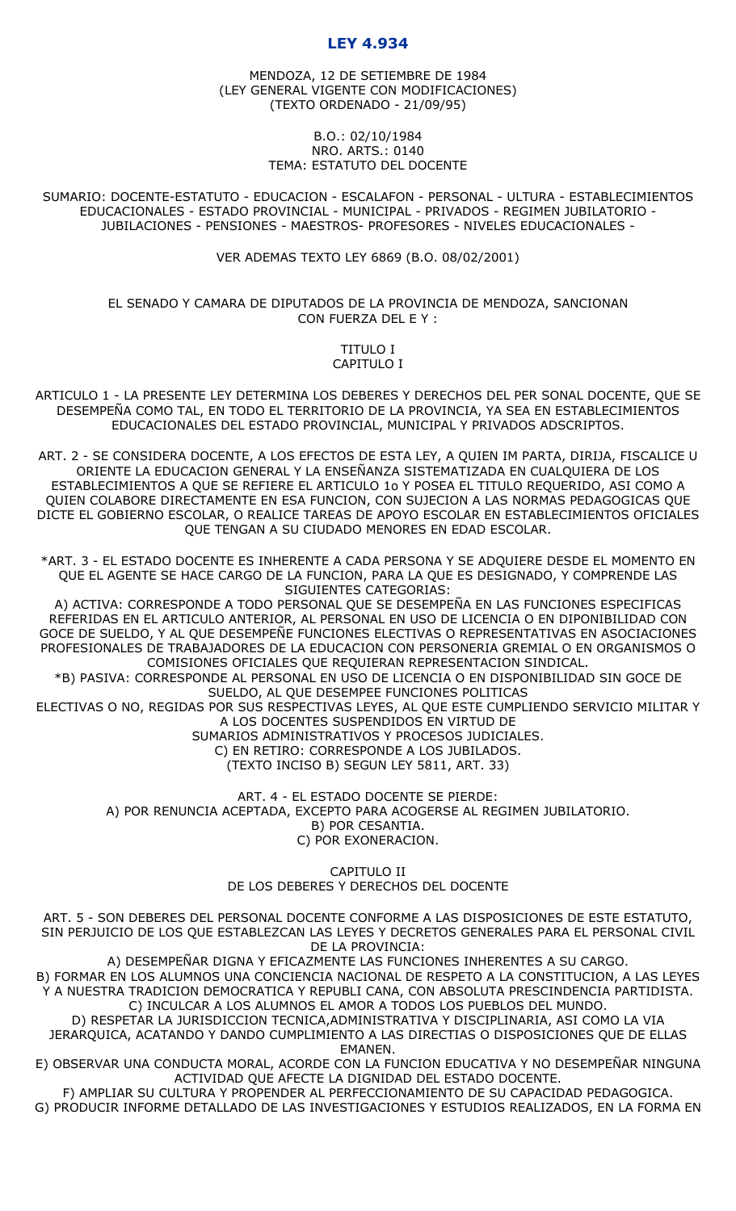# **LEY 4.934**

MENDOZA, 12 DE SETIEMBRE DE 1984 (LEY GENERAL VIGENTE CON MODIFICACIONES) (TEXTO ORDENADO - 21/09/95)

#### B.O.: 02/10/1984 NRO. ARTS.: 0140 TEMA: ESTATUTO DEL DOCENTE

SUMARIO: DOCENTE-ESTATUTO - EDUCACION - ESCALAFON - PERSONAL - ULTURA - ESTABLECIMIENTOS EDUCACIONALES - ESTADO PROVINCIAL - MUNICIPAL - PRIVADOS - REGIMEN JUBILATORIO - JUBILACIONES - PENSIONES - MAESTROS- PROFESORES - NIVELES EDUCACIONALES -

VER ADEMAS TEXTO LEY 6869 (B.O. 08/02/2001)

EL SENADO Y CAMARA DE DIPUTADOS DE LA PROVINCIA DE MENDOZA, SANCIONAN CON FUERZA DEL E Y :

### TITULO I CAPITULO I

ARTICULO 1 - LA PRESENTE LEY DETERMINA LOS DEBERES Y DERECHOS DEL PER SONAL DOCENTE, QUE SE DESEMPEÑA COMO TAL, EN TODO EL TERRITORIO DE LA PROVINCIA, YA SEA EN ESTABLECIMIENTOS EDUCACIONALES DEL ESTADO PROVINCIAL, MUNICIPAL Y PRIVADOS ADSCRIPTOS.

ART. 2 - SE CONSIDERA DOCENTE, A LOS EFECTOS DE ESTA LEY, A QUIEN IM PARTA, DIRIJA, FISCALICE U ORIENTE LA EDUCACION GENERAL Y LA ENSEÑANZA SISTEMATIZADA EN CUALQUIERA DE LOS ESTABLECIMIENTOS A QUE SE REFIERE EL ARTICULO 1o Y POSEA EL TITULO REQUERIDO, ASI COMO A QUIEN COLABORE DIRECTAMENTE EN ESA FUNCION, CON SUJECION A LAS NORMAS PEDAGOGICAS QUE DICTE EL GOBIERNO ESCOLAR, O REALICE TAREAS DE APOYO ESCOLAR EN ESTABLECIMIENTOS OFICIALES QUE TENGAN A SU CIUDADO MENORES EN EDAD ESCOLAR.

\*ART. 3 - EL ESTADO DOCENTE ES INHERENTE A CADA PERSONA Y SE ADQUIERE DESDE EL MOMENTO EN QUE EL AGENTE SE HACE CARGO DE LA FUNCION, PARA LA QUE ES DESIGNADO, Y COMPRENDE LAS SIGUIENTES CATEGORIAS:

A) ACTIVA: CORRESPONDE A TODO PERSONAL QUE SE DESEMPEÑA EN LAS FUNCIONES ESPECIFICAS REFERIDAS EN EL ARTICULO ANTERIOR, AL PERSONAL EN USO DE LICENCIA O EN DIPONIBILIDAD CON GOCE DE SUELDO, Y AL QUE DESEMPEÑE FUNCIONES ELECTIVAS O REPRESENTATIVAS EN ASOCIACIONES PROFESIONALES DE TRABAJADORES DE LA EDUCACION CON PERSONERIA GREMIAL O EN ORGANISMOS O COMISIONES OFICIALES QUE REQUIERAN REPRESENTACION SINDICAL.

\*B) PASIVA: CORRESPONDE AL PERSONAL EN USO DE LICENCIA O EN DISPONIBILIDAD SIN GOCE DE SUELDO, AL QUE DESEMPEE FUNCIONES POLITICAS

ELECTIVAS O NO, REGIDAS POR SUS RESPECTIVAS LEYES, AL QUE ESTE CUMPLIENDO SERVICIO MILITAR Y A LOS DOCENTES SUSPENDIDOS EN VIRTUD DE

SUMARIOS ADMINISTRATIVOS Y PROCESOS JUDICIALES.

C) EN RETIRO: CORRESPONDE A LOS JUBILADOS.

(TEXTO INCISO B) SEGUN LEY 5811, ART. 33)

ART. 4 - EL ESTADO DOCENTE SE PIERDE: A) POR RENUNCIA ACEPTADA, EXCEPTO PARA ACOGERSE AL REGIMEN JUBILATORIO. B) POR CESANTIA. C) POR EXONERACION.

> CAPITULO II DE LOS DEBERES Y DERECHOS DEL DOCENTE

ART. 5 - SON DEBERES DEL PERSONAL DOCENTE CONFORME A LAS DISPOSICIONES DE ESTE ESTATUTO, SIN PERJUICIO DE LOS QUE ESTABLEZCAN LAS LEYES Y DECRETOS GENERALES PARA EL PERSONAL CIVIL DE LA PROVINCIA:

A) DESEMPEÑAR DIGNA Y EFICAZMENTE LAS FUNCIONES INHERENTES A SU CARGO. B) FORMAR EN LOS ALUMNOS UNA CONCIENCIA NACIONAL DE RESPETO A LA CONSTITUCION, A LAS LEYES Y A NUESTRA TRADICION DEMOCRATICA Y REPUBLI CANA, CON ABSOLUTA PRESCINDENCIA PARTIDISTA. C) INCULCAR A LOS ALUMNOS EL AMOR A TODOS LOS PUEBLOS DEL MUNDO.

D) RESPETAR LA JURISDICCION TECNICA,ADMINISTRATIVA Y DISCIPLINARIA, ASI COMO LA VIA JERARQUICA, ACATANDO Y DANDO CUMPLIMIENTO A LAS DIRECTIAS O DISPOSICIONES QUE DE ELLAS EMANEN.

E) OBSERVAR UNA CONDUCTA MORAL, ACORDE CON LA FUNCION EDUCATIVA Y NO DESEMPEÑAR NINGUNA ACTIVIDAD QUE AFECTE LA DIGNIDAD DEL ESTADO DOCENTE.

F) AMPLIAR SU CULTURA Y PROPENDER AL PERFECCIONAMIENTO DE SU CAPACIDAD PEDAGOGICA.

G) PRODUCIR INFORME DETALLADO DE LAS INVESTIGACIONES Y ESTUDIOS REALIZADOS, EN LA FORMA EN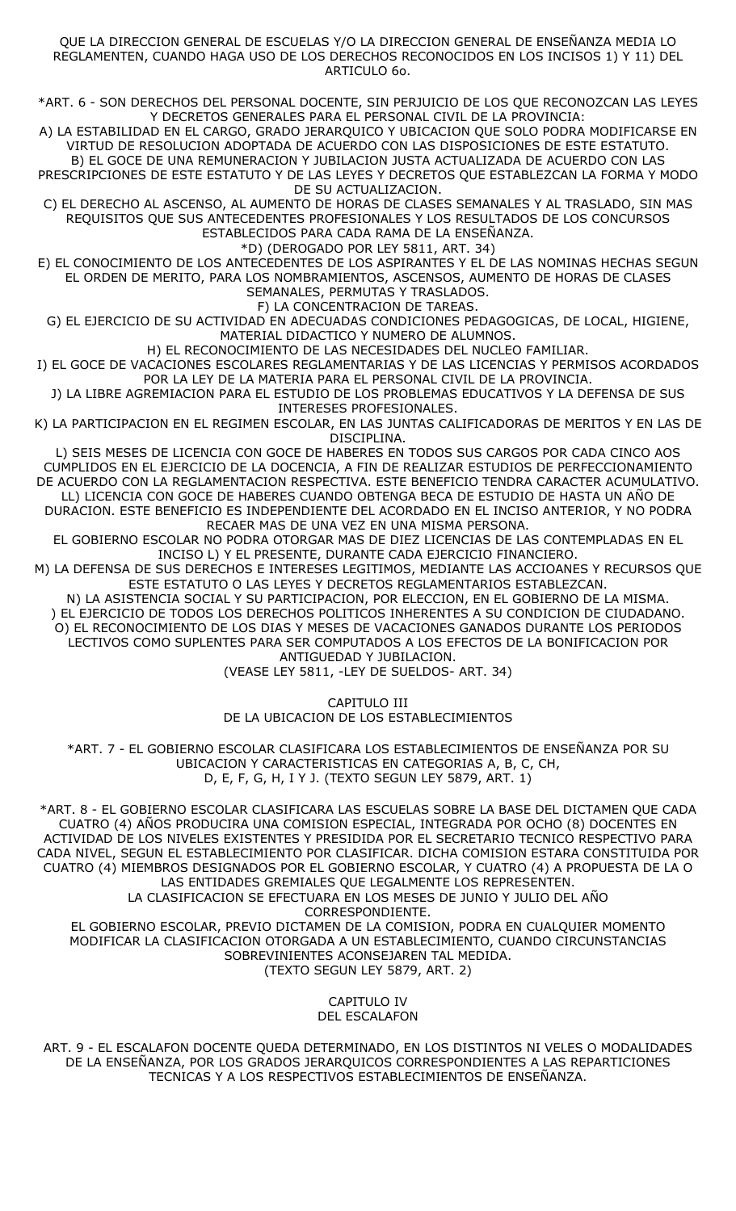#### QUE LA DIRECCION GENERAL DE ESCUELAS Y/O LA DIRECCION GENERAL DE ENSEÑANZA MEDIA LO REGLAMENTEN, CUANDO HAGA USO DE LOS DERECHOS RECONOCIDOS EN LOS INCISOS 1) Y 11) DEL ARTICULO 6o.

\*ART. 6 - SON DERECHOS DEL PERSONAL DOCENTE, SIN PERJUICIO DE LOS QUE RECONOZCAN LAS LEYES Y DECRETOS GENERALES PARA EL PERSONAL CIVIL DE LA PROVINCIA:

A) LA ESTABILIDAD EN EL CARGO, GRADO JERARQUICO Y UBICACION QUE SOLO PODRA MODIFICARSE EN VIRTUD DE RESOLUCION ADOPTADA DE ACUERDO CON LAS DISPOSICIONES DE ESTE ESTATUTO. B) EL GOCE DE UNA REMUNERACION Y JUBILACION JUSTA ACTUALIZADA DE ACUERDO CON LAS

PRESCRIPCIONES DE ESTE ESTATUTO Y DE LAS LEYES Y DECRETOS QUE ESTABLEZCAN LA FORMA Y MODO DE SU ACTUALIZACION.

C) EL DERECHO AL ASCENSO, AL AUMENTO DE HORAS DE CLASES SEMANALES Y AL TRASLADO, SIN MAS REQUISITOS QUE SUS ANTECEDENTES PROFESIONALES Y LOS RESULTADOS DE LOS CONCURSOS ESTABLECIDOS PARA CADA RAMA DE LA ENSEÑANZA.

\*D) (DEROGADO POR LEY 5811, ART. 34)

E) EL CONOCIMIENTO DE LOS ANTECEDENTES DE LOS ASPIRANTES Y EL DE LAS NOMINAS HECHAS SEGUN EL ORDEN DE MERITO, PARA LOS NOMBRAMIENTOS, ASCENSOS, AUMENTO DE HORAS DE CLASES SEMANALES, PERMUTAS Y TRASLADOS.

F) LA CONCENTRACION DE TAREAS.

G) EL EJERCICIO DE SU ACTIVIDAD EN ADECUADAS CONDICIONES PEDAGOGICAS, DE LOCAL, HIGIENE, MATERIAL DIDACTICO Y NUMERO DE ALUMNOS.

H) EL RECONOCIMIENTO DE LAS NECESIDADES DEL NUCLEO FAMILIAR.

I) EL GOCE DE VACACIONES ESCOLARES REGLAMENTARIAS Y DE LAS LICENCIAS Y PERMISOS ACORDADOS POR LA LEY DE LA MATERIA PARA EL PERSONAL CIVIL DE LA PROVINCIA.

J) LA LIBRE AGREMIACION PARA EL ESTUDIO DE LOS PROBLEMAS EDUCATIVOS Y LA DEFENSA DE SUS INTERESES PROFESIONALES.

K) LA PARTICIPACION EN EL REGIMEN ESCOLAR, EN LAS JUNTAS CALIFICADORAS DE MERITOS Y EN LAS DE DISCIPLINA.

L) SEIS MESES DE LICENCIA CON GOCE DE HABERES EN TODOS SUS CARGOS POR CADA CINCO AOS CUMPLIDOS EN EL EJERCICIO DE LA DOCENCIA, A FIN DE REALIZAR ESTUDIOS DE PERFECCIONAMIENTO DE ACUERDO CON LA REGLAMENTACION RESPECTIVA. ESTE BENEFICIO TENDRA CARACTER ACUMULATIVO. LL) LICENCIA CON GOCE DE HABERES CUANDO OBTENGA BECA DE ESTUDIO DE HASTA UN AÑO DE DURACION. ESTE BENEFICIO ES INDEPENDIENTE DEL ACORDADO EN EL INCISO ANTERIOR, Y NO PODRA RECAER MAS DE UNA VEZ EN UNA MISMA PERSONA.

EL GOBIERNO ESCOLAR NO PODRA OTORGAR MAS DE DIEZ LICENCIAS DE LAS CONTEMPLADAS EN EL INCISO L) Y EL PRESENTE, DURANTE CADA EJERCICIO FINANCIERO.

M) LA DEFENSA DE SUS DERECHOS E INTERESES LEGITIMOS, MEDIANTE LAS ACCIOANES Y RECURSOS QUE ESTE ESTATUTO O LAS LEYES Y DECRETOS REGLAMENTARIOS ESTABLEZCAN.

N) LA ASISTENCIA SOCIAL Y SU PARTICIPACION, POR ELECCION, EN EL GOBIERNO DE LA MISMA. ) EL EJERCICIO DE TODOS LOS DERECHOS POLITICOS INHERENTES A SU CONDICION DE CIUDADANO. O) EL RECONOCIMIENTO DE LOS DIAS Y MESES DE VACACIONES GANADOS DURANTE LOS PERIODOS LECTIVOS COMO SUPLENTES PARA SER COMPUTADOS A LOS EFECTOS DE LA BONIFICACION POR

ANTIGUEDAD Y JUBILACION.

(VEASE LEY 5811, -LEY DE SUELDOS- ART. 34)

CAPITULO III DE LA UBICACION DE LOS ESTABLECIMIENTOS

\*ART. 7 - EL GOBIERNO ESCOLAR CLASIFICARA LOS ESTABLECIMIENTOS DE ENSEÑANZA POR SU UBICACION Y CARACTERISTICAS EN CATEGORIAS A, B, C, CH, D, E, F, G, H, I Y J. (TEXTO SEGUN LEY 5879, ART. 1)

\*ART. 8 - EL GOBIERNO ESCOLAR CLASIFICARA LAS ESCUELAS SOBRE LA BASE DEL DICTAMEN QUE CADA CUATRO (4) AÑOS PRODUCIRA UNA COMISION ESPECIAL, INTEGRADA POR OCHO (8) DOCENTES EN ACTIVIDAD DE LOS NIVELES EXISTENTES Y PRESIDIDA POR EL SECRETARIO TECNICO RESPECTIVO PARA CADA NIVEL, SEGUN EL ESTABLECIMIENTO POR CLASIFICAR. DICHA COMISION ESTARA CONSTITUIDA POR CUATRO (4) MIEMBROS DESIGNADOS POR EL GOBIERNO ESCOLAR, Y CUATRO (4) A PROPUESTA DE LA O LAS ENTIDADES GREMIALES QUE LEGALMENTE LOS REPRESENTEN. LA CLASIFICACION SE EFECTUARA EN LOS MESES DE JUNIO Y JULIO DEL AÑO CORRESPONDIENTE.

EL GOBIERNO ESCOLAR, PREVIO DICTAMEN DE LA COMISION, PODRA EN CUALQUIER MOMENTO MODIFICAR LA CLASIFICACION OTORGADA A UN ESTABLECIMIENTO, CUANDO CIRCUNSTANCIAS SOBREVINIENTES ACONSEJAREN TAL MEDIDA. (TEXTO SEGUN LEY 5879, ART. 2)

> CAPITULO IV DEL ESCALAFON

ART. 9 - EL ESCALAFON DOCENTE QUEDA DETERMINADO, EN LOS DISTINTOS NI VELES O MODALIDADES DE LA ENSEÑANZA, POR LOS GRADOS JERARQUICOS CORRESPONDIENTES A LAS REPARTICIONES TECNICAS Y A LOS RESPECTIVOS ESTABLECIMIENTOS DE ENSEÑANZA.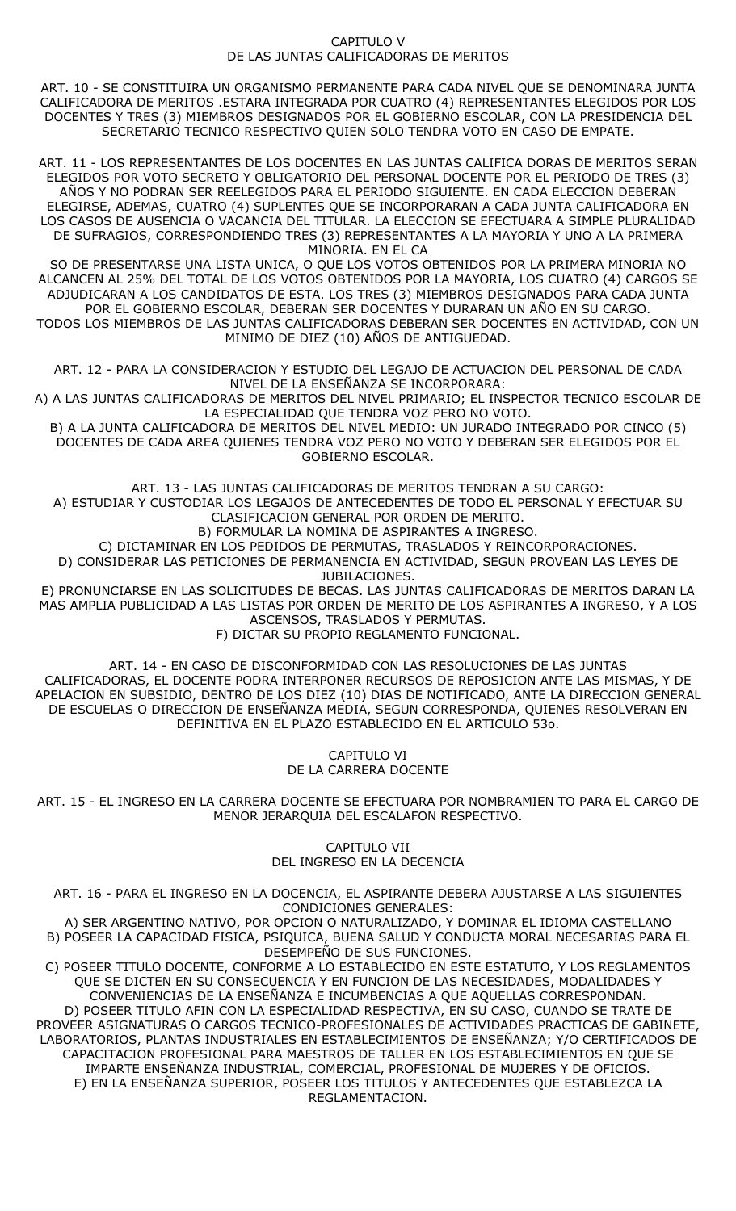### CAPITULO V DE LAS JUNTAS CALIFICADORAS DE MERITOS

ART. 10 - SE CONSTITUIRA UN ORGANISMO PERMANENTE PARA CADA NIVEL QUE SE DENOMINARA JUNTA CALIFICADORA DE MERITOS .ESTARA INTEGRADA POR CUATRO (4) REPRESENTANTES ELEGIDOS POR LOS DOCENTES Y TRES (3) MIEMBROS DESIGNADOS POR EL GOBIERNO ESCOLAR, CON LA PRESIDENCIA DEL SECRETARIO TECNICO RESPECTIVO QUIEN SOLO TENDRA VOTO EN CASO DE EMPATE.

ART. 11 - LOS REPRESENTANTES DE LOS DOCENTES EN LAS JUNTAS CALIFICA DORAS DE MERITOS SERAN ELEGIDOS POR VOTO SECRETO Y OBLIGATORIO DEL PERSONAL DOCENTE POR EL PERIODO DE TRES (3) AÑOS Y NO PODRAN SER REELEGIDOS PARA EL PERIODO SIGUIENTE. EN CADA ELECCION DEBERAN ELEGIRSE, ADEMAS, CUATRO (4) SUPLENTES QUE SE INCORPORARAN A CADA JUNTA CALIFICADORA EN LOS CASOS DE AUSENCIA O VACANCIA DEL TITULAR. LA ELECCION SE EFECTUARA A SIMPLE PLURALIDAD DE SUFRAGIOS, CORRESPONDIENDO TRES (3) REPRESENTANTES A LA MAYORIA Y UNO A LA PRIMERA MINORIA. EN EL CA

SO DE PRESENTARSE UNA LISTA UNICA, O QUE LOS VOTOS OBTENIDOS POR LA PRIMERA MINORIA NO ALCANCEN AL 25% DEL TOTAL DE LOS VOTOS OBTENIDOS POR LA MAYORIA, LOS CUATRO (4) CARGOS SE ADJUDICARAN A LOS CANDIDATOS DE ESTA. LOS TRES (3) MIEMBROS DESIGNADOS PARA CADA JUNTA POR EL GOBIERNO ESCOLAR, DEBERAN SER DOCENTES Y DURARAN UN AÑO EN SU CARGO. TODOS LOS MIEMBROS DE LAS JUNTAS CALIFICADORAS DEBERAN SER DOCENTES EN ACTIVIDAD, CON UN MINIMO DE DIEZ (10) AÑOS DE ANTIGUEDAD.

ART. 12 - PARA LA CONSIDERACION Y ESTUDIO DEL LEGAJO DE ACTUACION DEL PERSONAL DE CADA NIVEL DE LA ENSEÑANZA SE INCORPORARA:

A) A LAS JUNTAS CALIFICADORAS DE MERITOS DEL NIVEL PRIMARIO; EL INSPECTOR TECNICO ESCOLAR DE LA ESPECIALIDAD QUE TENDRA VOZ PERO NO VOTO.

B) A LA JUNTA CALIFICADORA DE MERITOS DEL NIVEL MEDIO: UN JURADO INTEGRADO POR CINCO (5) DOCENTES DE CADA AREA QUIENES TENDRA VOZ PERO NO VOTO Y DEBERAN SER ELEGIDOS POR EL GOBIERNO ESCOLAR.

ART. 13 - LAS JUNTAS CALIFICADORAS DE MERITOS TENDRAN A SU CARGO: A) ESTUDIAR Y CUSTODIAR LOS LEGAJOS DE ANTECEDENTES DE TODO EL PERSONAL Y EFECTUAR SU CLASIFICACION GENERAL POR ORDEN DE MERITO. B) FORMULAR LA NOMINA DE ASPIRANTES A INGRESO.

C) DICTAMINAR EN LOS PEDIDOS DE PERMUTAS, TRASLADOS Y REINCORPORACIONES.

D) CONSIDERAR LAS PETICIONES DE PERMANENCIA EN ACTIVIDAD, SEGUN PROVEAN LAS LEYES DE JUBILACIONES.

E) PRONUNCIARSE EN LAS SOLICITUDES DE BECAS. LAS JUNTAS CALIFICADORAS DE MERITOS DARAN LA MAS AMPLIA PUBLICIDAD A LAS LISTAS POR ORDEN DE MERITO DE LOS ASPIRANTES A INGRESO, Y A LOS ASCENSOS, TRASLADOS Y PERMUTAS.

F) DICTAR SU PROPIO REGLAMENTO FUNCIONAL.

ART. 14 - EN CASO DE DISCONFORMIDAD CON LAS RESOLUCIONES DE LAS JUNTAS CALIFICADORAS, EL DOCENTE PODRA INTERPONER RECURSOS DE REPOSICION ANTE LAS MISMAS, Y DE APELACION EN SUBSIDIO, DENTRO DE LOS DIEZ (10) DIAS DE NOTIFICADO, ANTE LA DIRECCION GENERAL DE ESCUELAS O DIRECCION DE ENSEÑANZA MEDIA, SEGUN CORRESPONDA, QUIENES RESOLVERAN EN DEFINITIVA EN EL PLAZO ESTABLECIDO EN EL ARTICULO 53o.

> CAPITULO VI DE LA CARRERA DOCENTE

ART. 15 - EL INGRESO EN LA CARRERA DOCENTE SE EFECTUARA POR NOMBRAMIEN TO PARA EL CARGO DE MENOR JERARQUIA DEL ESCALAFON RESPECTIVO.

> CAPITULO VII DEL INGRESO EN LA DECENCIA

ART. 16 - PARA EL INGRESO EN LA DOCENCIA, EL ASPIRANTE DEBERA AJUSTARSE A LAS SIGUIENTES CONDICIONES GENERALES:

A) SER ARGENTINO NATIVO, POR OPCION O NATURALIZADO, Y DOMINAR EL IDIOMA CASTELLANO B) POSEER LA CAPACIDAD FISICA, PSIQUICA, BUENA SALUD Y CONDUCTA MORAL NECESARIAS PARA EL DESEMPEÑO DE SUS FUNCIONES.

C) POSEER TITULO DOCENTE, CONFORME A LO ESTABLECIDO EN ESTE ESTATUTO, Y LOS REGLAMENTOS QUE SE DICTEN EN SU CONSECUENCIA Y EN FUNCION DE LAS NECESIDADES, MODALIDADES Y CONVENIENCIAS DE LA ENSEÑANZA E INCUMBENCIAS A QUE AQUELLAS CORRESPONDAN. D) POSEER TITULO AFIN CON LA ESPECIALIDAD RESPECTIVA, EN SU CASO, CUANDO SE TRATE DE PROVEER ASIGNATURAS O CARGOS TECNICO-PROFESIONALES DE ACTIVIDADES PRACTICAS DE GABINETE, LABORATORIOS, PLANTAS INDUSTRIALES EN ESTABLECIMIENTOS DE ENSEÑANZA; Y/O CERTIFICADOS DE CAPACITACION PROFESIONAL PARA MAESTROS DE TALLER EN LOS ESTABLECIMIENTOS EN QUE SE IMPARTE ENSEÑANZA INDUSTRIAL, COMERCIAL, PROFESIONAL DE MUJERES Y DE OFICIOS. E) EN LA ENSEÑANZA SUPERIOR, POSEER LOS TITULOS Y ANTECEDENTES QUE ESTABLEZCA LA REGLAMENTACION.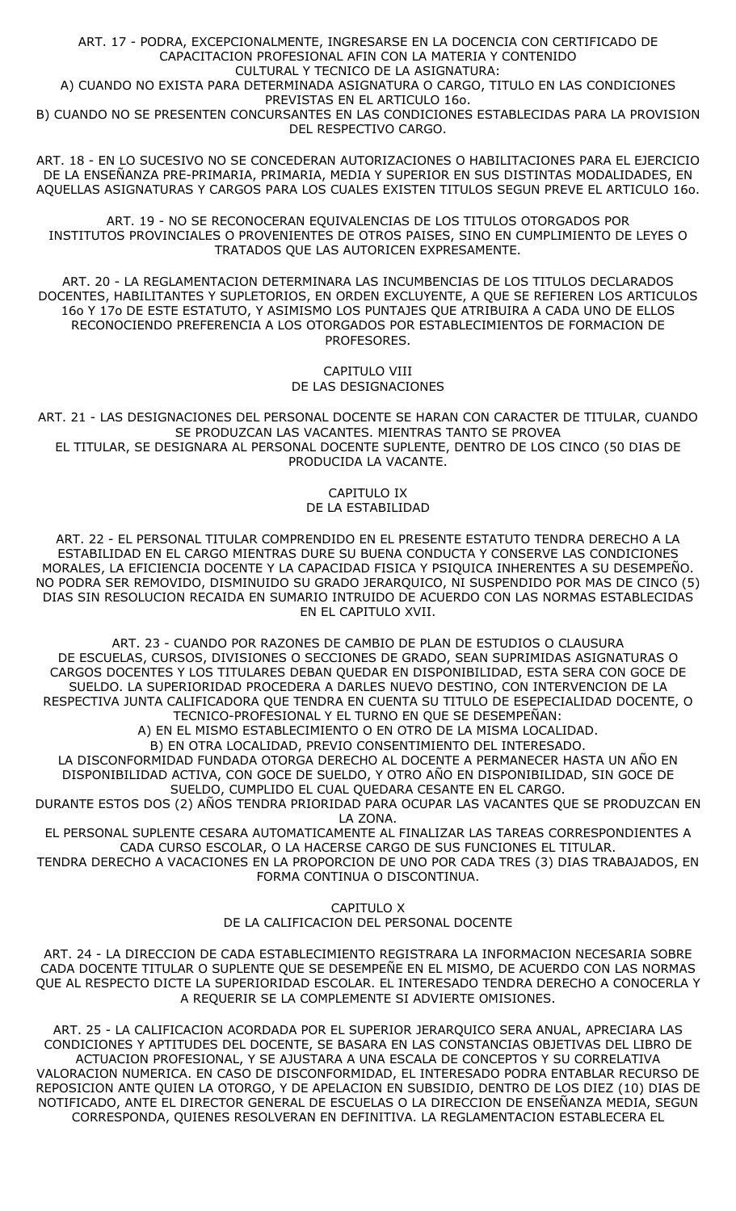ART. 17 - PODRA, EXCEPCIONALMENTE, INGRESARSE EN LA DOCENCIA CON CERTIFICADO DE CAPACITACION PROFESIONAL AFIN CON LA MATERIA Y CONTENIDO CULTURAL Y TECNICO DE LA ASIGNATURA: A) CUANDO NO EXISTA PARA DETERMINADA ASIGNATURA O CARGO, TITULO EN LAS CONDICIONES PREVISTAS EN EL ARTICULO 16o. B) CUANDO NO SE PRESENTEN CONCURSANTES EN LAS CONDICIONES ESTABLECIDAS PARA LA PROVISION DEL RESPECTIVO CARGO.

ART. 18 - EN LO SUCESIVO NO SE CONCEDERAN AUTORIZACIONES O HABILITACIONES PARA EL EJERCICIO DE LA ENSEÑANZA PRE-PRIMARIA, PRIMARIA, MEDIA Y SUPERIOR EN SUS DISTINTAS MODALIDADES, EN AQUELLAS ASIGNATURAS Y CARGOS PARA LOS CUALES EXISTEN TITULOS SEGUN PREVE EL ARTICULO 16o.

ART. 19 - NO SE RECONOCERAN EQUIVALENCIAS DE LOS TITULOS OTORGADOS POR INSTITUTOS PROVINCIALES O PROVENIENTES DE OTROS PAISES, SINO EN CUMPLIMIENTO DE LEYES O TRATADOS QUE LAS AUTORICEN EXPRESAMENTE.

ART. 20 - LA REGLAMENTACION DETERMINARA LAS INCUMBENCIAS DE LOS TITULOS DECLARADOS DOCENTES, HABILITANTES Y SUPLETORIOS, EN ORDEN EXCLUYENTE, A QUE SE REFIEREN LOS ARTICULOS 16o Y 17o DE ESTE ESTATUTO, Y ASIMISMO LOS PUNTAJES QUE ATRIBUIRA A CADA UNO DE ELLOS RECONOCIENDO PREFERENCIA A LOS OTORGADOS POR ESTABLECIMIENTOS DE FORMACION DE PROFESORES.

> CAPITULO VIII DE LAS DESIGNACIONES

ART. 21 - LAS DESIGNACIONES DEL PERSONAL DOCENTE SE HARAN CON CARACTER DE TITULAR, CUANDO SE PRODUZCAN LAS VACANTES. MIENTRAS TANTO SE PROVEA EL TITULAR, SE DESIGNARA AL PERSONAL DOCENTE SUPLENTE, DENTRO DE LOS CINCO (50 DIAS DE PRODUCIDA LA VACANTE.

> CAPITULO IX DE LA ESTABILIDAD

ART. 22 - EL PERSONAL TITULAR COMPRENDIDO EN EL PRESENTE ESTATUTO TENDRA DERECHO A LA ESTABILIDAD EN EL CARGO MIENTRAS DURE SU BUENA CONDUCTA Y CONSERVE LAS CONDICIONES MORALES, LA EFICIENCIA DOCENTE Y LA CAPACIDAD FISICA Y PSIQUICA INHERENTES A SU DESEMPEÑO. NO PODRA SER REMOVIDO, DISMINUIDO SU GRADO JERARQUICO, NI SUSPENDIDO POR MAS DE CINCO (5) DIAS SIN RESOLUCION RECAIDA EN SUMARIO INTRUIDO DE ACUERDO CON LAS NORMAS ESTABLECIDAS EN EL CAPITULO XVII.

ART. 23 - CUANDO POR RAZONES DE CAMBIO DE PLAN DE ESTUDIOS O CLAUSURA DE ESCUELAS, CURSOS, DIVISIONES O SECCIONES DE GRADO, SEAN SUPRIMIDAS ASIGNATURAS O CARGOS DOCENTES Y LOS TITULARES DEBAN QUEDAR EN DISPONIBILIDAD, ESTA SERA CON GOCE DE SUELDO. LA SUPERIORIDAD PROCEDERA A DARLES NUEVO DESTINO, CON INTERVENCION DE LA RESPECTIVA JUNTA CALIFICADORA QUE TENDRA EN CUENTA SU TITULO DE ESEPECIALIDAD DOCENTE, O TECNICO-PROFESIONAL Y EL TURNO EN QUE SE DESEMPEÑAN:

A) EN EL MISMO ESTABLECIMIENTO O EN OTRO DE LA MISMA LOCALIDAD.

B) EN OTRA LOCALIDAD, PREVIO CONSENTIMIENTO DEL INTERESADO. LA DISCONFORMIDAD FUNDADA OTORGA DERECHO AL DOCENTE A PERMANECER HASTA UN AÑO EN DISPONIBILIDAD ACTIVA, CON GOCE DE SUELDO, Y OTRO AÑO EN DISPONIBILIDAD, SIN GOCE DE SUELDO, CUMPLIDO EL CUAL QUEDARA CESANTE EN EL CARGO.

DURANTE ESTOS DOS (2) AÑOS TENDRA PRIORIDAD PARA OCUPAR LAS VACANTES QUE SE PRODUZCAN EN LA ZONA.

EL PERSONAL SUPLENTE CESARA AUTOMATICAMENTE AL FINALIZAR LAS TAREAS CORRESPONDIENTES A CADA CURSO ESCOLAR, O LA HACERSE CARGO DE SUS FUNCIONES EL TITULAR.

TENDRA DERECHO A VACACIONES EN LA PROPORCION DE UNO POR CADA TRES (3) DIAS TRABAJADOS, EN FORMA CONTINUA O DISCONTINUA.

> CAPITULO X DE LA CALIFICACION DEL PERSONAL DOCENTE

ART. 24 - LA DIRECCION DE CADA ESTABLECIMIENTO REGISTRARA LA INFORMACION NECESARIA SOBRE CADA DOCENTE TITULAR O SUPLENTE QUE SE DESEMPEÑE EN EL MISMO, DE ACUERDO CON LAS NORMAS QUE AL RESPECTO DICTE LA SUPERIORIDAD ESCOLAR. EL INTERESADO TENDRA DERECHO A CONOCERLA Y A REQUERIR SE LA COMPLEMENTE SI ADVIERTE OMISIONES.

ART. 25 - LA CALIFICACION ACORDADA POR EL SUPERIOR JERARQUICO SERA ANUAL, APRECIARA LAS CONDICIONES Y APTITUDES DEL DOCENTE, SE BASARA EN LAS CONSTANCIAS OBJETIVAS DEL LIBRO DE ACTUACION PROFESIONAL, Y SE AJUSTARA A UNA ESCALA DE CONCEPTOS Y SU CORRELATIVA VALORACION NUMERICA. EN CASO DE DISCONFORMIDAD, EL INTERESADO PODRA ENTABLAR RECURSO DE REPOSICION ANTE QUIEN LA OTORGO, Y DE APELACION EN SUBSIDIO, DENTRO DE LOS DIEZ (10) DIAS DE NOTIFICADO, ANTE EL DIRECTOR GENERAL DE ESCUELAS O LA DIRECCION DE ENSEÑANZA MEDIA, SEGUN CORRESPONDA, QUIENES RESOLVERAN EN DEFINITIVA. LA REGLAMENTACION ESTABLECERA EL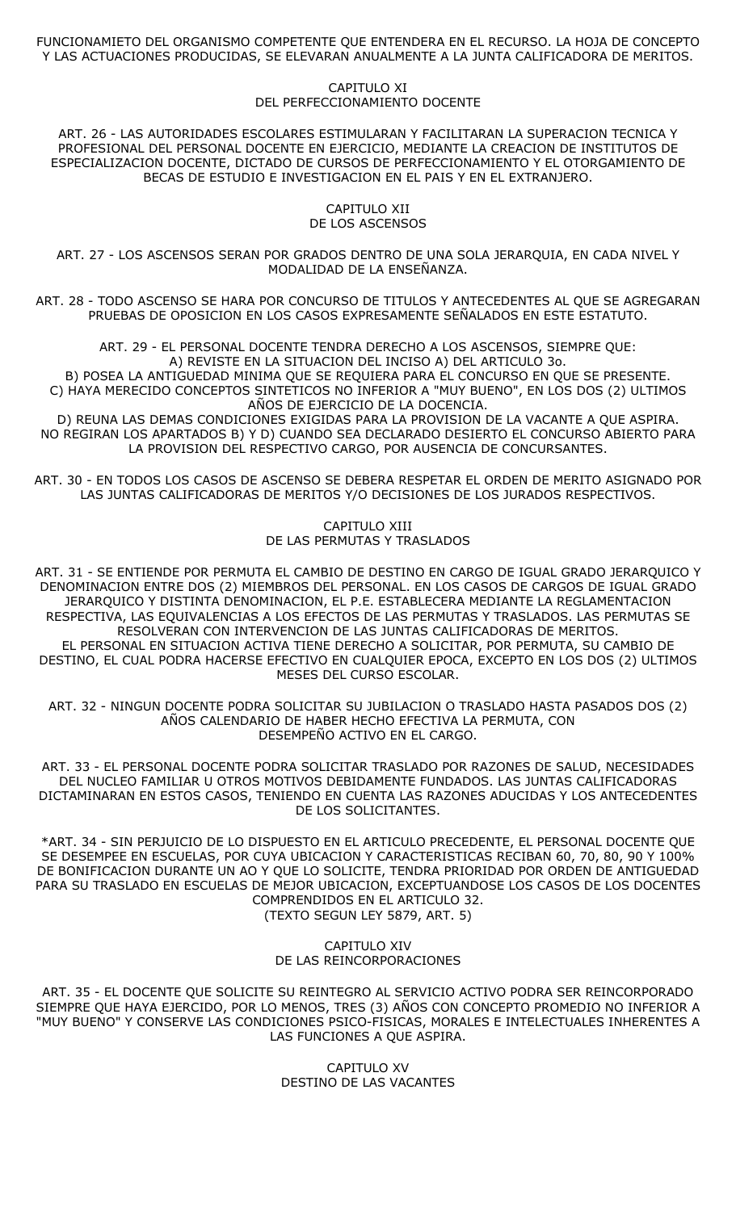## FUNCIONAMIETO DEL ORGANISMO COMPETENTE QUE ENTENDERA EN EL RECURSO. LA HOJA DE CONCEPTO Y LAS ACTUACIONES PRODUCIDAS, SE ELEVARAN ANUALMENTE A LA JUNTA CALIFICADORA DE MERITOS.

### CAPITULO XI DEL PERFECCIONAMIENTO DOCENTE

ART. 26 - LAS AUTORIDADES ESCOLARES ESTIMULARAN Y FACILITARAN LA SUPERACION TECNICA Y PROFESIONAL DEL PERSONAL DOCENTE EN EJERCICIO, MEDIANTE LA CREACION DE INSTITUTOS DE ESPECIALIZACION DOCENTE, DICTADO DE CURSOS DE PERFECCIONAMIENTO Y EL OTORGAMIENTO DE BECAS DE ESTUDIO E INVESTIGACION EN EL PAIS Y EN EL EXTRANJERO.

> CAPITULO XII DE LOS ASCENSOS

ART. 27 - LOS ASCENSOS SERAN POR GRADOS DENTRO DE UNA SOLA JERARQUIA, EN CADA NIVEL Y MODALIDAD DE LA ENSEÑANZA.

ART. 28 - TODO ASCENSO SE HARA POR CONCURSO DE TITULOS Y ANTECEDENTES AL QUE SE AGREGARAN PRUEBAS DE OPOSICION EN LOS CASOS EXPRESAMENTE SEÑALADOS EN ESTE ESTATUTO.

ART. 29 - EL PERSONAL DOCENTE TENDRA DERECHO A LOS ASCENSOS, SIEMPRE QUE: A) REVISTE EN LA SITUACION DEL INCISO A) DEL ARTICULO 3o. B) POSEA LA ANTIGUEDAD MINIMA QUE SE REQUIERA PARA EL CONCURSO EN QUE SE PRESENTE. C) HAYA MERECIDO CONCEPTOS SINTETICOS NO INFERIOR A "MUY BUENO", EN LOS DOS (2) ULTIMOS AÑOS DE EJERCICIO DE LA DOCENCIA.

D) REUNA LAS DEMAS CONDICIONES EXIGIDAS PARA LA PROVISION DE LA VACANTE A QUE ASPIRA. NO REGIRAN LOS APARTADOS B) Y D) CUANDO SEA DECLARADO DESIERTO EL CONCURSO ABIERTO PARA LA PROVISION DEL RESPECTIVO CARGO, POR AUSENCIA DE CONCURSANTES.

ART. 30 - EN TODOS LOS CASOS DE ASCENSO SE DEBERA RESPETAR EL ORDEN DE MERITO ASIGNADO POR LAS JUNTAS CALIFICADORAS DE MERITOS Y/O DECISIONES DE LOS JURADOS RESPECTIVOS.

> CAPITULO XIII DE LAS PERMUTAS Y TRASLADOS

ART. 31 - SE ENTIENDE POR PERMUTA EL CAMBIO DE DESTINO EN CARGO DE IGUAL GRADO JERARQUICO Y DENOMINACION ENTRE DOS (2) MIEMBROS DEL PERSONAL. EN LOS CASOS DE CARGOS DE IGUAL GRADO JERARQUICO Y DISTINTA DENOMINACION, EL P.E. ESTABLECERA MEDIANTE LA REGLAMENTACION RESPECTIVA, LAS EQUIVALENCIAS A LOS EFECTOS DE LAS PERMUTAS Y TRASLADOS. LAS PERMUTAS SE RESOLVERAN CON INTERVENCION DE LAS JUNTAS CALIFICADORAS DE MERITOS. EL PERSONAL EN SITUACION ACTIVA TIENE DERECHO A SOLICITAR, POR PERMUTA, SU CAMBIO DE DESTINO, EL CUAL PODRA HACERSE EFECTIVO EN CUALQUIER EPOCA, EXCEPTO EN LOS DOS (2) ULTIMOS MESES DEL CURSO ESCOLAR.

ART. 32 - NINGUN DOCENTE PODRA SOLICITAR SU JUBILACION O TRASLADO HASTA PASADOS DOS (2) AÑOS CALENDARIO DE HABER HECHO EFECTIVA LA PERMUTA, CON DESEMPEÑO ACTIVO EN EL CARGO.

ART. 33 - EL PERSONAL DOCENTE PODRA SOLICITAR TRASLADO POR RAZONES DE SALUD, NECESIDADES DEL NUCLEO FAMILIAR U OTROS MOTIVOS DEBIDAMENTE FUNDADOS. LAS JUNTAS CALIFICADORAS DICTAMINARAN EN ESTOS CASOS, TENIENDO EN CUENTA LAS RAZONES ADUCIDAS Y LOS ANTECEDENTES DE LOS SOLICITANTES.

\*ART. 34 - SIN PERJUICIO DE LO DISPUESTO EN EL ARTICULO PRECEDENTE, EL PERSONAL DOCENTE QUE SE DESEMPEE EN ESCUELAS, POR CUYA UBICACION Y CARACTERISTICAS RECIBAN 60, 70, 80, 90 Y 100% DE BONIFICACION DURANTE UN AO Y QUE LO SOLICITE, TENDRA PRIORIDAD POR ORDEN DE ANTIGUEDAD PARA SU TRASLADO EN ESCUELAS DE MEJOR UBICACION, EXCEPTUANDOSE LOS CASOS DE LOS DOCENTES COMPRENDIDOS EN EL ARTICULO 32. (TEXTO SEGUN LEY 5879, ART. 5)

> CAPITULO XIV DE LAS REINCORPORACIONES

ART. 35 - EL DOCENTE QUE SOLICITE SU REINTEGRO AL SERVICIO ACTIVO PODRA SER REINCORPORADO SIEMPRE QUE HAYA EJERCIDO, POR LO MENOS, TRES (3) AÑOS CON CONCEPTO PROMEDIO NO INFERIOR A "MUY BUENO" Y CONSERVE LAS CONDICIONES PSICO-FISICAS, MORALES E INTELECTUALES INHERENTES A LAS FUNCIONES A QUE ASPIRA.

> CAPITULO XV DESTINO DE LAS VACANTES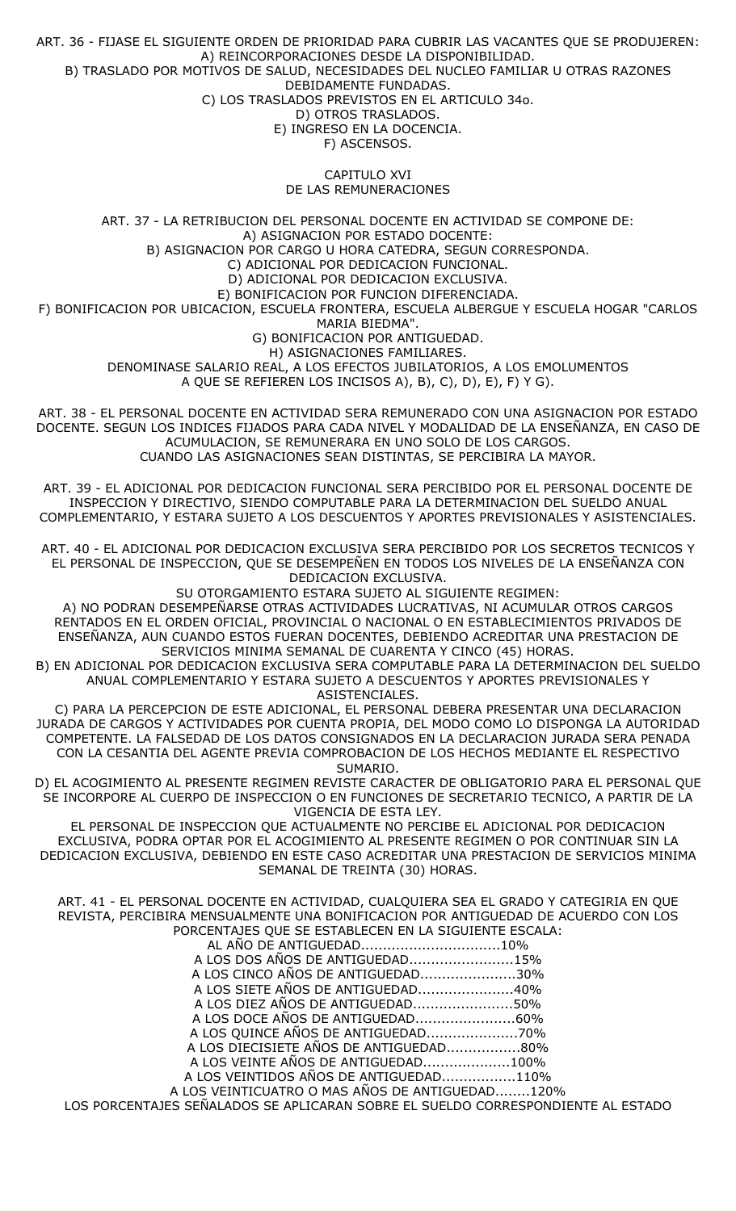ART. 36 - FIJASE EL SIGUIENTE ORDEN DE PRIORIDAD PARA CUBRIR LAS VACANTES QUE SE PRODUJEREN: A) REINCORPORACIONES DESDE LA DISPONIBILIDAD. B) TRASLADO POR MOTIVOS DE SALUD, NECESIDADES DEL NUCLEO FAMILIAR U OTRAS RAZONES DEBIDAMENTE FUNDADAS.

C) LOS TRASLADOS PREVISTOS EN EL ARTICULO 34o.

D) OTROS TRASLADOS. E) INGRESO EN LA DOCENCIA.

F) ASCENSOS.

CAPITULO XVI

DE LAS REMUNERACIONES

ART. 37 - LA RETRIBUCION DEL PERSONAL DOCENTE EN ACTIVIDAD SE COMPONE DE: A) ASIGNACION POR ESTADO DOCENTE: B) ASIGNACION POR CARGO U HORA CATEDRA, SEGUN CORRESPONDA. C) ADICIONAL POR DEDICACION FUNCIONAL. D) ADICIONAL POR DEDICACION EXCLUSIVA. E) BONIFICACION POR FUNCION DIFERENCIADA. F) BONIFICACION POR UBICACION, ESCUELA FRONTERA, ESCUELA ALBERGUE Y ESCUELA HOGAR "CARLOS MARIA BIEDMA". G) BONIFICACION POR ANTIGUEDAD. H) ASIGNACIONES FAMILIARES. DENOMINASE SALARIO REAL, A LOS EFECTOS JUBILATORIOS, A LOS EMOLUMENTOS A QUE SE REFIEREN LOS INCISOS A), B), C), D), E), F) Y G).

ART. 38 - EL PERSONAL DOCENTE EN ACTIVIDAD SERA REMUNERADO CON UNA ASIGNACION POR ESTADO DOCENTE. SEGUN LOS INDICES FIJADOS PARA CADA NIVEL Y MODALIDAD DE LA ENSEÑANZA, EN CASO DE ACUMULACION, SE REMUNERARA EN UNO SOLO DE LOS CARGOS. CUANDO LAS ASIGNACIONES SEAN DISTINTAS, SE PERCIBIRA LA MAYOR.

ART. 39 - EL ADICIONAL POR DEDICACION FUNCIONAL SERA PERCIBIDO POR EL PERSONAL DOCENTE DE INSPECCION Y DIRECTIVO, SIENDO COMPUTABLE PARA LA DETERMINACION DEL SUELDO ANUAL COMPLEMENTARIO, Y ESTARA SUJETO A LOS DESCUENTOS Y APORTES PREVISIONALES Y ASISTENCIALES.

ART. 40 - EL ADICIONAL POR DEDICACION EXCLUSIVA SERA PERCIBIDO POR LOS SECRETOS TECNICOS Y EL PERSONAL DE INSPECCION, QUE SE DESEMPEÑEN EN TODOS LOS NIVELES DE LA ENSEÑANZA CON DEDICACION EXCLUSIVA.

SU OTORGAMIENTO ESTARA SUJETO AL SIGUIENTE REGIMEN:

A) NO PODRAN DESEMPEÑARSE OTRAS ACTIVIDADES LUCRATIVAS, NI ACUMULAR OTROS CARGOS RENTADOS EN EL ORDEN OFICIAL, PROVINCIAL O NACIONAL O EN ESTABLECIMIENTOS PRIVADOS DE ENSEÑANZA, AUN CUANDO ESTOS FUERAN DOCENTES, DEBIENDO ACREDITAR UNA PRESTACION DE SERVICIOS MINIMA SEMANAL DE CUARENTA Y CINCO (45) HORAS.

B) EN ADICIONAL POR DEDICACION EXCLUSIVA SERA COMPUTABLE PARA LA DETERMINACION DEL SUELDO ANUAL COMPLEMENTARIO Y ESTARA SUJETO A DESCUENTOS Y APORTES PREVISIONALES Y ASISTENCIALES.

C) PARA LA PERCEPCION DE ESTE ADICIONAL, EL PERSONAL DEBERA PRESENTAR UNA DECLARACION JURADA DE CARGOS Y ACTIVIDADES POR CUENTA PROPIA, DEL MODO COMO LO DISPONGA LA AUTORIDAD COMPETENTE. LA FALSEDAD DE LOS DATOS CONSIGNADOS EN LA DECLARACION JURADA SERA PENADA CON LA CESANTIA DEL AGENTE PREVIA COMPROBACION DE LOS HECHOS MEDIANTE EL RESPECTIVO SUMARIO.

D) EL ACOGIMIENTO AL PRESENTE REGIMEN REVISTE CARACTER DE OBLIGATORIO PARA EL PERSONAL QUE SE INCORPORE AL CUERPO DE INSPECCION O EN FUNCIONES DE SECRETARIO TECNICO, A PARTIR DE LA VIGENCIA DE ESTA LEY.

EL PERSONAL DE INSPECCION QUE ACTUALMENTE NO PERCIBE EL ADICIONAL POR DEDICACION EXCLUSIVA, PODRA OPTAR POR EL ACOGIMIENTO AL PRESENTE REGIMEN O POR CONTINUAR SIN LA DEDICACION EXCLUSIVA, DEBIENDO EN ESTE CASO ACREDITAR UNA PRESTACION DE SERVICIOS MINIMA SEMANAL DE TREINTA (30) HORAS.

ART. 41 - EL PERSONAL DOCENTE EN ACTIVIDAD, CUALQUIERA SEA EL GRADO Y CATEGIRIA EN QUE REVISTA, PERCIBIRA MENSUALMENTE UNA BONIFICACION POR ANTIGUEDAD DE ACUERDO CON LOS PORCENTAJES QUE SE ESTABLECEN EN LA SIGUIENTE ESCALA:

| האסבו והספור היו והמשפח המוכני המוכני המשפח המסו                                                                |  |
|-----------------------------------------------------------------------------------------------------------------|--|
|                                                                                                                 |  |
| A LOS DOS AÑOS DE ANTIGUEDAD15%                                                                                 |  |
| A LOS CINCO AÑOS DE ANTIGUEDAD30%                                                                               |  |
| A LOS SIETE AÑOS DE ANTIGUEDAD40%                                                                               |  |
| A LOS DIEZ AÑOS DE ANTIGUEDAD50%                                                                                |  |
| A LOS DOCE AÑOS DE ANTIGUEDAD60%                                                                                |  |
| A LOS QUINCE AÑOS DE ANTIGUEDAD70%                                                                              |  |
| A LOS DIECISIETE AÑOS DE ANTIGUEDAD80%                                                                          |  |
| A LOS VEINTE AÑOS DE ANTIGUEDAD100%                                                                             |  |
| A LOS VEINTIDOS AÑOS DE ANTIGUEDAD110%                                                                          |  |
| 2008년 - 대한민국의 대한민국의 대한민국의 대한민국의 대한민국의 대한민국의 대한민국의 대한민국의 대한민국의 대한민국의 대한민국의 대한민국의 대한민국의 대한민국의 대한민국의 대한민국의 대한민국의 대 |  |

A LOS VEINTICUATRO O MAS AÑOS DE ANTIGUEDAD........120% LOS PORCENTAJES SEÑALADOS SE APLICARAN SOBRE EL SUELDO CORRESPONDIENTE AL ESTADO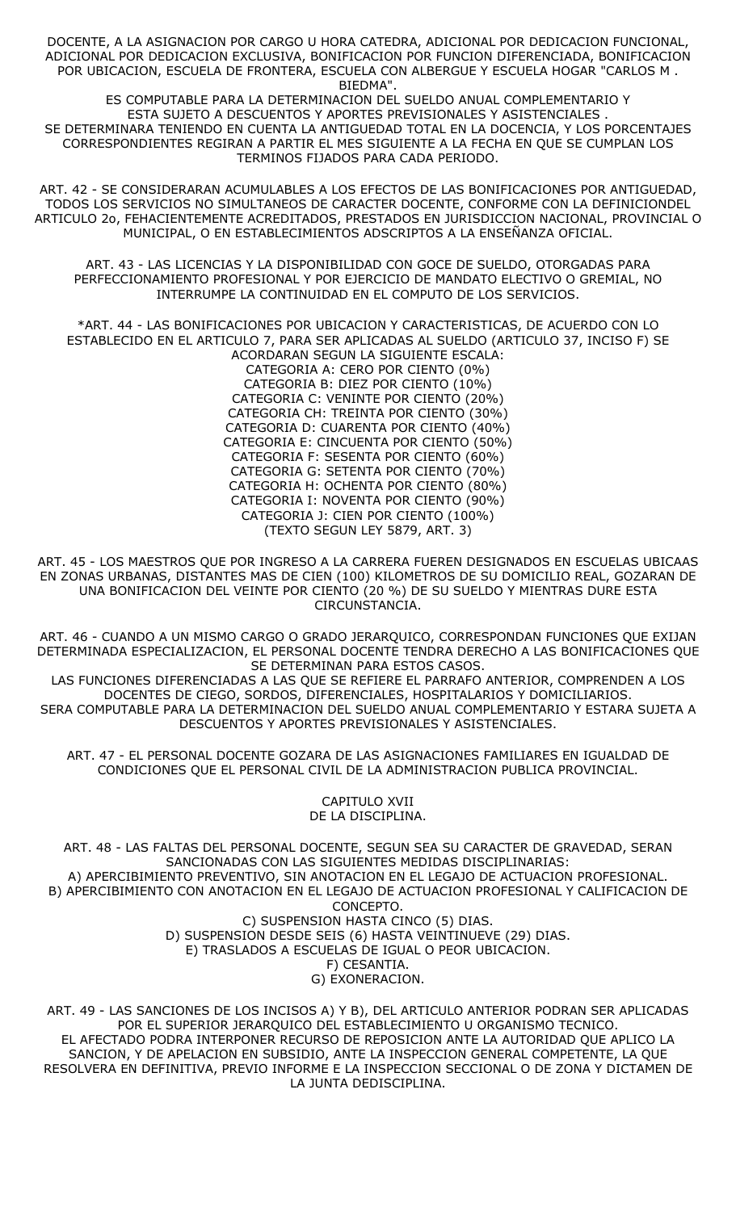DOCENTE, A LA ASIGNACION POR CARGO U HORA CATEDRA, ADICIONAL POR DEDICACION FUNCIONAL, ADICIONAL POR DEDICACION EXCLUSIVA, BONIFICACION POR FUNCION DIFERENCIADA, BONIFICACION POR UBICACION, ESCUELA DE FRONTERA, ESCUELA CON ALBERGUE Y ESCUELA HOGAR "CARLOS M . BIEDMA".

ES COMPUTABLE PARA LA DETERMINACION DEL SUELDO ANUAL COMPLEMENTARIO Y ESTA SUJETO A DESCUENTOS Y APORTES PREVISIONALES Y ASISTENCIALES . SE DETERMINARA TENIENDO EN CUENTA LA ANTIGUEDAD TOTAL EN LA DOCENCIA, Y LOS PORCENTAJES CORRESPONDIENTES REGIRAN A PARTIR EL MES SIGUIENTE A LA FECHA EN QUE SE CUMPLAN LOS TERMINOS FIJADOS PARA CADA PERIODO.

ART. 42 - SE CONSIDERARAN ACUMULABLES A LOS EFECTOS DE LAS BONIFICACIONES POR ANTIGUEDAD, TODOS LOS SERVICIOS NO SIMULTANEOS DE CARACTER DOCENTE, CONFORME CON LA DEFINICIONDEL ARTICULO 2o, FEHACIENTEMENTE ACREDITADOS, PRESTADOS EN JURISDICCION NACIONAL, PROVINCIAL O MUNICIPAL, O EN ESTABLECIMIENTOS ADSCRIPTOS A LA ENSEÑANZA OFICIAL.

ART. 43 - LAS LICENCIAS Y LA DISPONIBILIDAD CON GOCE DE SUELDO, OTORGADAS PARA PERFECCIONAMIENTO PROFESIONAL Y POR EJERCICIO DE MANDATO ELECTIVO O GREMIAL, NO INTERRUMPE LA CONTINUIDAD EN EL COMPUTO DE LOS SERVICIOS.

\*ART. 44 - LAS BONIFICACIONES POR UBICACION Y CARACTERISTICAS, DE ACUERDO CON LO ESTABLECIDO EN EL ARTICULO 7, PARA SER APLICADAS AL SUELDO (ARTICULO 37, INCISO F) SE ACORDARAN SEGUN LA SIGUIENTE ESCALA: CATEGORIA A: CERO POR CIENTO (0%) CATEGORIA B: DIEZ POR CIENTO (10%) CATEGORIA C: VENINTE POR CIENTO (20%) CATEGORIA CH: TREINTA POR CIENTO (30%) CATEGORIA D: CUARENTA POR CIENTO (40%) CATEGORIA E: CINCUENTA POR CIENTO (50%) CATEGORIA F: SESENTA POR CIENTO (60%) CATEGORIA G: SETENTA POR CIENTO (70%) CATEGORIA H: OCHENTA POR CIENTO (80%) CATEGORIA I: NOVENTA POR CIENTO (90%) CATEGORIA J: CIEN POR CIENTO (100%) (TEXTO SEGUN LEY 5879, ART. 3)

ART. 45 - LOS MAESTROS QUE POR INGRESO A LA CARRERA FUEREN DESIGNADOS EN ESCUELAS UBICAAS EN ZONAS URBANAS, DISTANTES MAS DE CIEN (100) KILOMETROS DE SU DOMICILIO REAL, GOZARAN DE UNA BONIFICACION DEL VEINTE POR CIENTO (20 %) DE SU SUELDO Y MIENTRAS DURE ESTA CIRCUNSTANCIA.

ART. 46 - CUANDO A UN MISMO CARGO O GRADO JERARQUICO, CORRESPONDAN FUNCIONES QUE EXIJAN DETERMINADA ESPECIALIZACION, EL PERSONAL DOCENTE TENDRA DERECHO A LAS BONIFICACIONES QUE SE DETERMINAN PARA ESTOS CASOS.

LAS FUNCIONES DIFERENCIADAS A LAS QUE SE REFIERE EL PARRAFO ANTERIOR, COMPRENDEN A LOS DOCENTES DE CIEGO, SORDOS, DIFERENCIALES, HOSPITALARIOS Y DOMICILIARIOS. SERA COMPUTABLE PARA LA DETERMINACION DEL SUELDO ANUAL COMPLEMENTARIO Y ESTARA SUJETA A DESCUENTOS Y APORTES PREVISIONALES Y ASISTENCIALES.

ART. 47 - EL PERSONAL DOCENTE GOZARA DE LAS ASIGNACIONES FAMILIARES EN IGUALDAD DE CONDICIONES QUE EL PERSONAL CIVIL DE LA ADMINISTRACION PUBLICA PROVINCIAL.

> CAPITULO XVII DE LA DISCIPLINA.

ART. 48 - LAS FALTAS DEL PERSONAL DOCENTE, SEGUN SEA SU CARACTER DE GRAVEDAD, SERAN SANCIONADAS CON LAS SIGUIENTES MEDIDAS DISCIPLINARIAS: A) APERCIBIMIENTO PREVENTIVO, SIN ANOTACION EN EL LEGAJO DE ACTUACION PROFESIONAL. B) APERCIBIMIENTO CON ANOTACION EN EL LEGAJO DE ACTUACION PROFESIONAL Y CALIFICACION DE CONCEPTO. C) SUSPENSION HASTA CINCO (5) DIAS. D) SUSPENSION DESDE SEIS (6) HASTA VEINTINUEVE (29) DIAS. E) TRASLADOS A ESCUELAS DE IGUAL O PEOR UBICACION. F) CESANTIA. G) EXONERACION.

ART. 49 - LAS SANCIONES DE LOS INCISOS A) Y B), DEL ARTICULO ANTERIOR PODRAN SER APLICADAS POR EL SUPERIOR JERARQUICO DEL ESTABLECIMIENTO U ORGANISMO TECNICO. EL AFECTADO PODRA INTERPONER RECURSO DE REPOSICION ANTE LA AUTORIDAD QUE APLICO LA SANCION, Y DE APELACION EN SUBSIDIO, ANTE LA INSPECCION GENERAL COMPETENTE, LA QUE RESOLVERA EN DEFINITIVA, PREVIO INFORME E LA INSPECCION SECCIONAL O DE ZONA Y DICTAMEN DE LA JUNTA DEDISCIPLINA.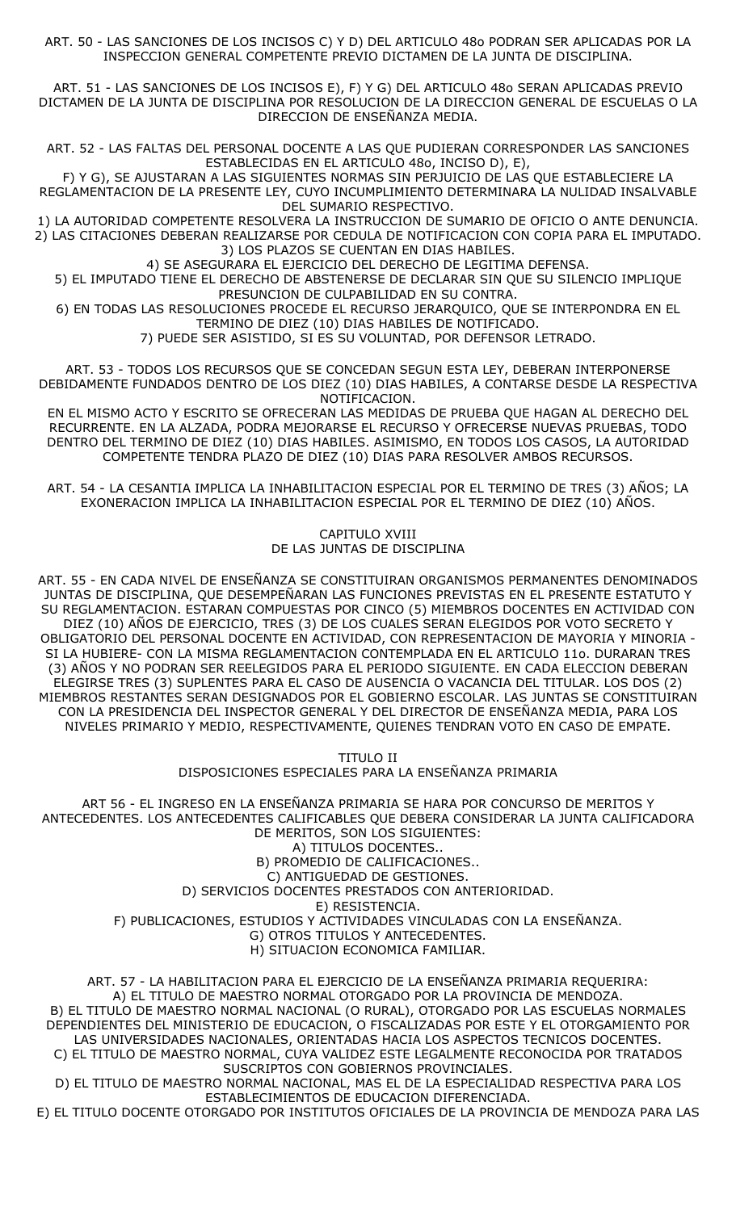ART. 50 - LAS SANCIONES DE LOS INCISOS C) Y D) DEL ARTICULO 48o PODRAN SER APLICADAS POR LA INSPECCION GENERAL COMPETENTE PREVIO DICTAMEN DE LA JUNTA DE DISCIPLINA.

ART. 51 - LAS SANCIONES DE LOS INCISOS E), F) Y G) DEL ARTICULO 48o SERAN APLICADAS PREVIO DICTAMEN DE LA JUNTA DE DISCIPLINA POR RESOLUCION DE LA DIRECCION GENERAL DE ESCUELAS O LA DIRECCION DE ENSEÑANZA MEDIA.

ART. 52 - LAS FALTAS DEL PERSONAL DOCENTE A LAS QUE PUDIERAN CORRESPONDER LAS SANCIONES ESTABLECIDAS EN EL ARTICULO 48o, INCISO D), E),

F) Y G), SE AJUSTARAN A LAS SIGUIENTES NORMAS SIN PERJUICIO DE LAS QUE ESTABLECIERE LA REGLAMENTACION DE LA PRESENTE LEY, CUYO INCUMPLIMIENTO DETERMINARA LA NULIDAD INSALVABLE DEL SUMARIO RESPECTIVO.

1) LA AUTORIDAD COMPETENTE RESOLVERA LA INSTRUCCION DE SUMARIO DE OFICIO O ANTE DENUNCIA. 2) LAS CITACIONES DEBERAN REALIZARSE POR CEDULA DE NOTIFICACION CON COPIA PARA EL IMPUTADO. 3) LOS PLAZOS SE CUENTAN EN DIAS HABILES.

4) SE ASEGURARA EL EJERCICIO DEL DERECHO DE LEGITIMA DEFENSA.

5) EL IMPUTADO TIENE EL DERECHO DE ABSTENERSE DE DECLARAR SIN QUE SU SILENCIO IMPLIQUE PRESUNCION DE CULPABILIDAD EN SU CONTRA.

6) EN TODAS LAS RESOLUCIONES PROCEDE EL RECURSO JERARQUICO, QUE SE INTERPONDRA EN EL TERMINO DE DIEZ (10) DIAS HABILES DE NOTIFICADO.

7) PUEDE SER ASISTIDO, SI ES SU VOLUNTAD, POR DEFENSOR LETRADO.

ART. 53 - TODOS LOS RECURSOS QUE SE CONCEDAN SEGUN ESTA LEY, DEBERAN INTERPONERSE DEBIDAMENTE FUNDADOS DENTRO DE LOS DIEZ (10) DIAS HABILES, A CONTARSE DESDE LA RESPECTIVA NOTIFICACION.

EN EL MISMO ACTO Y ESCRITO SE OFRECERAN LAS MEDIDAS DE PRUEBA QUE HAGAN AL DERECHO DEL RECURRENTE. EN LA ALZADA, PODRA MEJORARSE EL RECURSO Y OFRECERSE NUEVAS PRUEBAS, TODO DENTRO DEL TERMINO DE DIEZ (10) DIAS HABILES. ASIMISMO, EN TODOS LOS CASOS, LA AUTORIDAD COMPETENTE TENDRA PLAZO DE DIEZ (10) DIAS PARA RESOLVER AMBOS RECURSOS.

ART. 54 - LA CESANTIA IMPLICA LA INHABILITACION ESPECIAL POR EL TERMINO DE TRES (3) AÑOS; LA EXONERACION IMPLICA LA INHABILITACION ESPECIAL POR EL TERMINO DE DIEZ (10) AÑOS.

> CAPITULO XVIII DE LAS JUNTAS DE DISCIPLINA

ART. 55 - EN CADA NIVEL DE ENSEÑANZA SE CONSTITUIRAN ORGANISMOS PERMANENTES DENOMINADOS JUNTAS DE DISCIPLINA, QUE DESEMPEÑARAN LAS FUNCIONES PREVISTAS EN EL PRESENTE ESTATUTO Y SU REGLAMENTACION. ESTARAN COMPUESTAS POR CINCO (5) MIEMBROS DOCENTES EN ACTIVIDAD CON DIEZ (10) AÑOS DE EJERCICIO, TRES (3) DE LOS CUALES SERAN ELEGIDOS POR VOTO SECRETO Y OBLIGATORIO DEL PERSONAL DOCENTE EN ACTIVIDAD, CON REPRESENTACION DE MAYORIA Y MINORIA - SI LA HUBIERE- CON LA MISMA REGLAMENTACION CONTEMPLADA EN EL ARTICULO 11o. DURARAN TRES (3) AÑOS Y NO PODRAN SER REELEGIDOS PARA EL PERIODO SIGUIENTE. EN CADA ELECCION DEBERAN ELEGIRSE TRES (3) SUPLENTES PARA EL CASO DE AUSENCIA O VACANCIA DEL TITULAR. LOS DOS (2) MIEMBROS RESTANTES SERAN DESIGNADOS POR EL GOBIERNO ESCOLAR. LAS JUNTAS SE CONSTITUIRAN CON LA PRESIDENCIA DEL INSPECTOR GENERAL Y DEL DIRECTOR DE ENSEÑANZA MEDIA, PARA LOS NIVELES PRIMARIO Y MEDIO, RESPECTIVAMENTE, QUIENES TENDRAN VOTO EN CASO DE EMPATE.

> TITULO II DISPOSICIONES ESPECIALES PARA LA ENSEÑANZA PRIMARIA

ART 56 - EL INGRESO EN LA ENSEÑANZA PRIMARIA SE HARA POR CONCURSO DE MERITOS Y ANTECEDENTES. LOS ANTECEDENTES CALIFICABLES QUE DEBERA CONSIDERAR LA JUNTA CALIFICADORA DE MERITOS, SON LOS SIGUIENTES: A) TITULOS DOCENTES..

B) PROMEDIO DE CALIFICACIONES.. C) ANTIGUEDAD DE GESTIONES. D) SERVICIOS DOCENTES PRESTADOS CON ANTERIORIDAD. E) RESISTENCIA. F) PUBLICACIONES, ESTUDIOS Y ACTIVIDADES VINCULADAS CON LA ENSEÑANZA. G) OTROS TITULOS Y ANTECEDENTES. H) SITUACION ECONOMICA FAMILIAR.

ART. 57 - LA HABILITACION PARA EL EJERCICIO DE LA ENSEÑANZA PRIMARIA REQUERIRA: A) EL TITULO DE MAESTRO NORMAL OTORGADO POR LA PROVINCIA DE MENDOZA. B) EL TITULO DE MAESTRO NORMAL NACIONAL (O RURAL), OTORGADO POR LAS ESCUELAS NORMALES DEPENDIENTES DEL MINISTERIO DE EDUCACION, O FISCALIZADAS POR ESTE Y EL OTORGAMIENTO POR LAS UNIVERSIDADES NACIONALES, ORIENTADAS HACIA LOS ASPECTOS TECNICOS DOCENTES. C) EL TITULO DE MAESTRO NORMAL, CUYA VALIDEZ ESTE LEGALMENTE RECONOCIDA POR TRATADOS SUSCRIPTOS CON GOBIERNOS PROVINCIALES.

D) EL TITULO DE MAESTRO NORMAL NACIONAL, MAS EL DE LA ESPECIALIDAD RESPECTIVA PARA LOS ESTABLECIMIENTOS DE EDUCACION DIFERENCIADA.

E) EL TITULO DOCENTE OTORGADO POR INSTITUTOS OFICIALES DE LA PROVINCIA DE MENDOZA PARA LAS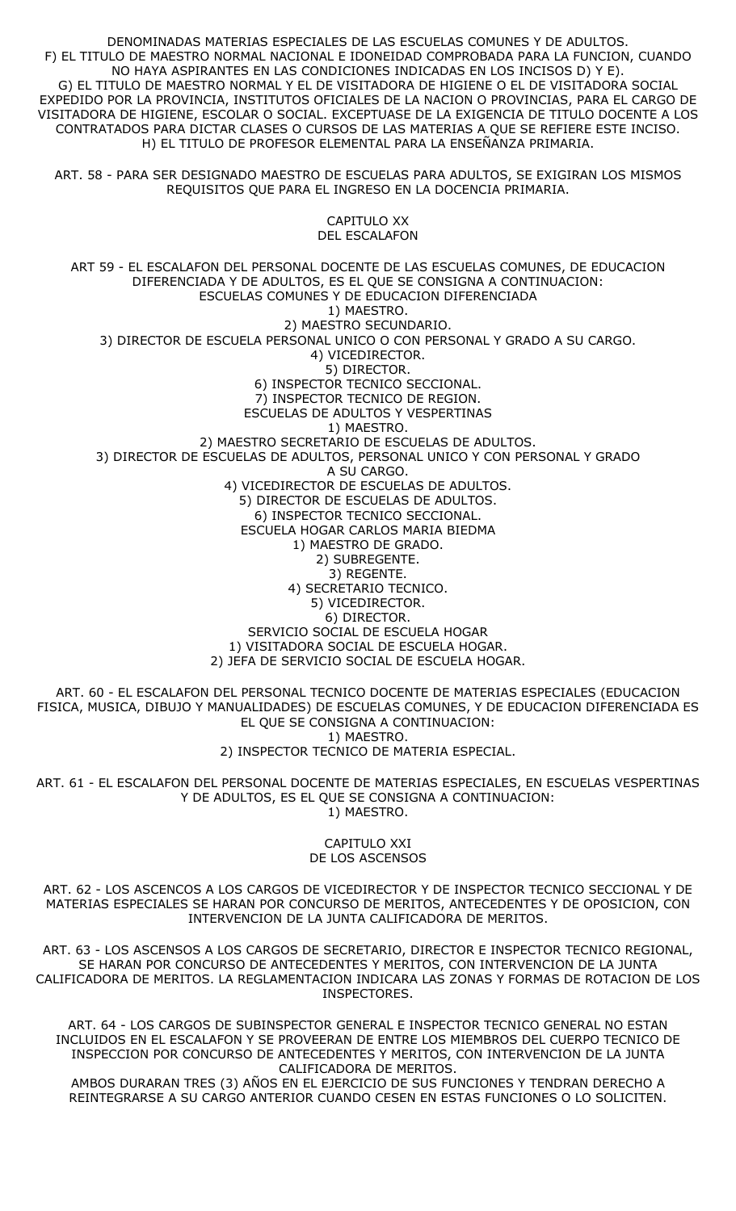DENOMINADAS MATERIAS ESPECIALES DE LAS ESCUELAS COMUNES Y DE ADULTOS. F) EL TITULO DE MAESTRO NORMAL NACIONAL E IDONEIDAD COMPROBADA PARA LA FUNCION, CUANDO NO HAYA ASPIRANTES EN LAS CONDICIONES INDICADAS EN LOS INCISOS D) Y E). G) EL TITULO DE MAESTRO NORMAL Y EL DE VISITADORA DE HIGIENE O EL DE VISITADORA SOCIAL EXPEDIDO POR LA PROVINCIA, INSTITUTOS OFICIALES DE LA NACION O PROVINCIAS, PARA EL CARGO DE VISITADORA DE HIGIENE, ESCOLAR O SOCIAL. EXCEPTUASE DE LA EXIGENCIA DE TITULO DOCENTE A LOS CONTRATADOS PARA DICTAR CLASES O CURSOS DE LAS MATERIAS A QUE SE REFIERE ESTE INCISO. H) EL TITULO DE PROFESOR ELEMENTAL PARA LA ENSEÑANZA PRIMARIA.

ART. 58 - PARA SER DESIGNADO MAESTRO DE ESCUELAS PARA ADULTOS, SE EXIGIRAN LOS MISMOS REQUISITOS QUE PARA EL INGRESO EN LA DOCENCIA PRIMARIA.

> CAPITULO XX DEL ESCALAFON

ART 59 - EL ESCALAFON DEL PERSONAL DOCENTE DE LAS ESCUELAS COMUNES, DE EDUCACION DIFERENCIADA Y DE ADULTOS, ES EL QUE SE CONSIGNA A CONTINUACION: ESCUELAS COMUNES Y DE EDUCACION DIFERENCIADA 1) MAESTRO. 2) MAESTRO SECUNDARIO. 3) DIRECTOR DE ESCUELA PERSONAL UNICO O CON PERSONAL Y GRADO A SU CARGO. 4) VICEDIRECTOR. 5) DIRECTOR. 6) INSPECTOR TECNICO SECCIONAL. 7) INSPECTOR TECNICO DE REGION. ESCUELAS DE ADULTOS Y VESPERTINAS 1) MAESTRO. 2) MAESTRO SECRETARIO DE ESCUELAS DE ADULTOS. 3) DIRECTOR DE ESCUELAS DE ADULTOS, PERSONAL UNICO Y CON PERSONAL Y GRADO A SU CARGO. 4) VICEDIRECTOR DE ESCUELAS DE ADULTOS. 5) DIRECTOR DE ESCUELAS DE ADULTOS. 6) INSPECTOR TECNICO SECCIONAL. ESCUELA HOGAR CARLOS MARIA BIEDMA 1) MAESTRO DE GRADO. 2) SUBREGENTE. 3) REGENTE. 4) SECRETARIO TECNICO. 5) VICEDIRECTOR. 6) DIRECTOR. SERVICIO SOCIAL DE ESCUELA HOGAR 1) VISITADORA SOCIAL DE ESCUELA HOGAR. 2) JEFA DE SERVICIO SOCIAL DE ESCUELA HOGAR.

ART. 60 - EL ESCALAFON DEL PERSONAL TECNICO DOCENTE DE MATERIAS ESPECIALES (EDUCACION FISICA, MUSICA, DIBUJO Y MANUALIDADES) DE ESCUELAS COMUNES, Y DE EDUCACION DIFERENCIADA ES EL QUE SE CONSIGNA A CONTINUACION: 1) MAESTRO. 2) INSPECTOR TECNICO DE MATERIA ESPECIAL.

ART. 61 - EL ESCALAFON DEL PERSONAL DOCENTE DE MATERIAS ESPECIALES, EN ESCUELAS VESPERTINAS Y DE ADULTOS, ES EL QUE SE CONSIGNA A CONTINUACION: 1) MAESTRO.

> CAPITULO XXI DE LOS ASCENSOS

ART. 62 - LOS ASCENCOS A LOS CARGOS DE VICEDIRECTOR Y DE INSPECTOR TECNICO SECCIONAL Y DE MATERIAS ESPECIALES SE HARAN POR CONCURSO DE MERITOS, ANTECEDENTES Y DE OPOSICION, CON INTERVENCION DE LA JUNTA CALIFICADORA DE MERITOS.

ART. 63 - LOS ASCENSOS A LOS CARGOS DE SECRETARIO, DIRECTOR E INSPECTOR TECNICO REGIONAL, SE HARAN POR CONCURSO DE ANTECEDENTES Y MERITOS, CON INTERVENCION DE LA JUNTA CALIFICADORA DE MERITOS. LA REGLAMENTACION INDICARA LAS ZONAS Y FORMAS DE ROTACION DE LOS INSPECTORES.

ART. 64 - LOS CARGOS DE SUBINSPECTOR GENERAL E INSPECTOR TECNICO GENERAL NO ESTAN INCLUIDOS EN EL ESCALAFON Y SE PROVEERAN DE ENTRE LOS MIEMBROS DEL CUERPO TECNICO DE INSPECCION POR CONCURSO DE ANTECEDENTES Y MERITOS, CON INTERVENCION DE LA JUNTA CALIFICADORA DE MERITOS.

AMBOS DURARAN TRES (3) AÑOS EN EL EJERCICIO DE SUS FUNCIONES Y TENDRAN DERECHO A REINTEGRARSE A SU CARGO ANTERIOR CUANDO CESEN EN ESTAS FUNCIONES O LO SOLICITEN.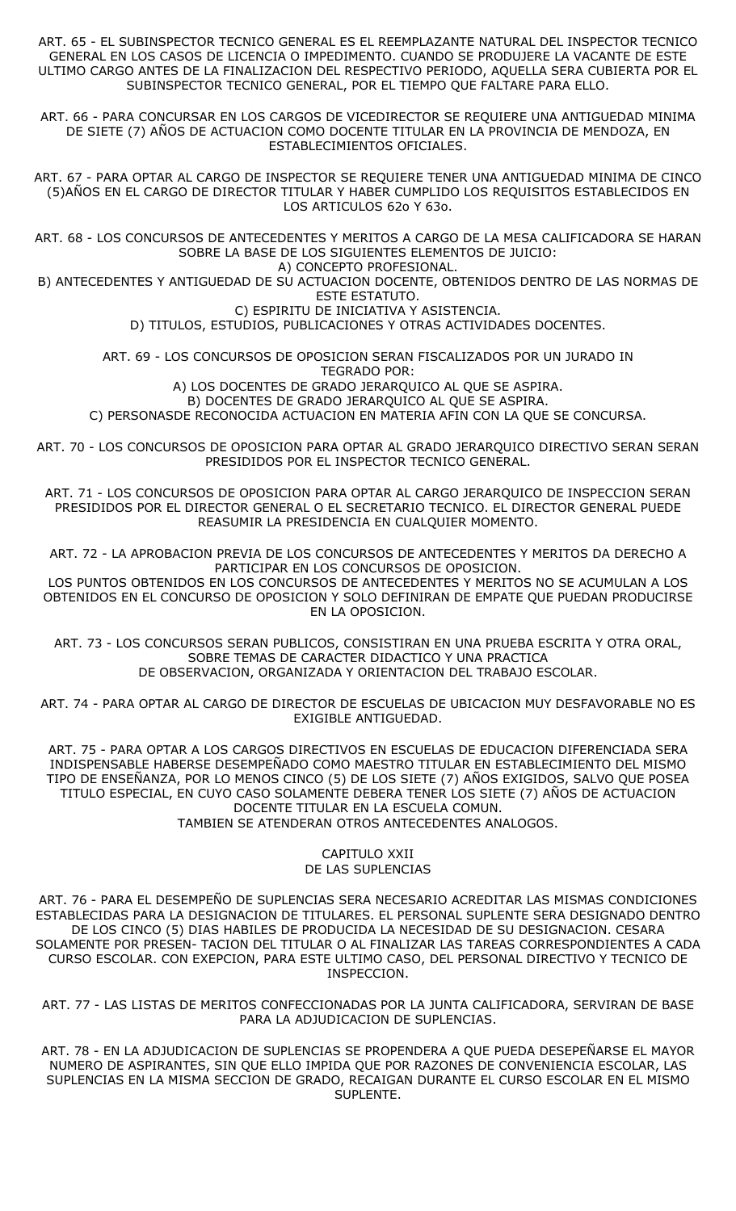ART. 65 - EL SUBINSPECTOR TECNICO GENERAL ES EL REEMPLAZANTE NATURAL DEL INSPECTOR TECNICO GENERAL EN LOS CASOS DE LICENCIA O IMPEDIMENTO. CUANDO SE PRODUJERE LA VACANTE DE ESTE ULTIMO CARGO ANTES DE LA FINALIZACION DEL RESPECTIVO PERIODO, AQUELLA SERA CUBIERTA POR EL SUBINSPECTOR TECNICO GENERAL, POR EL TIEMPO QUE FALTARE PARA ELLO.

ART. 66 - PARA CONCURSAR EN LOS CARGOS DE VICEDIRECTOR SE REQUIERE UNA ANTIGUEDAD MINIMA DE SIETE (7) AÑOS DE ACTUACION COMO DOCENTE TITULAR EN LA PROVINCIA DE MENDOZA, EN ESTABLECIMIENTOS OFICIALES.

ART. 67 - PARA OPTAR AL CARGO DE INSPECTOR SE REQUIERE TENER UNA ANTIGUEDAD MINIMA DE CINCO (5)AÑOS EN EL CARGO DE DIRECTOR TITULAR Y HABER CUMPLIDO LOS REQUISITOS ESTABLECIDOS EN LOS ARTICULOS 62o Y 63o.

ART. 68 - LOS CONCURSOS DE ANTECEDENTES Y MERITOS A CARGO DE LA MESA CALIFICADORA SE HARAN SOBRE LA BASE DE LOS SIGUIENTES ELEMENTOS DE JUICIO: A) CONCEPTO PROFESIONAL.

B) ANTECEDENTES Y ANTIGUEDAD DE SU ACTUACION DOCENTE, OBTENIDOS DENTRO DE LAS NORMAS DE ESTE ESTATUTO.

> C) ESPIRITU DE INICIATIVA Y ASISTENCIA. D) TITULOS, ESTUDIOS, PUBLICACIONES Y OTRAS ACTIVIDADES DOCENTES.

ART. 69 - LOS CONCURSOS DE OPOSICION SERAN FISCALIZADOS POR UN JURADO IN TEGRADO POR:

A) LOS DOCENTES DE GRADO JERARQUICO AL QUE SE ASPIRA.

B) DOCENTES DE GRADO JERARQUICO AL QUE SE ASPIRA.

C) PERSONASDE RECONOCIDA ACTUACION EN MATERIA AFIN CON LA QUE SE CONCURSA.

ART. 70 - LOS CONCURSOS DE OPOSICION PARA OPTAR AL GRADO JERARQUICO DIRECTIVO SERAN SERAN PRESIDIDOS POR EL INSPECTOR TECNICO GENERAL.

ART. 71 - LOS CONCURSOS DE OPOSICION PARA OPTAR AL CARGO JERARQUICO DE INSPECCION SERAN PRESIDIDOS POR EL DIRECTOR GENERAL O EL SECRETARIO TECNICO. EL DIRECTOR GENERAL PUEDE REASUMIR LA PRESIDENCIA EN CUALQUIER MOMENTO.

ART. 72 - LA APROBACION PREVIA DE LOS CONCURSOS DE ANTECEDENTES Y MERITOS DA DERECHO A PARTICIPAR EN LOS CONCURSOS DE OPOSICION.

LOS PUNTOS OBTENIDOS EN LOS CONCURSOS DE ANTECEDENTES Y MERITOS NO SE ACUMULAN A LOS OBTENIDOS EN EL CONCURSO DE OPOSICION Y SOLO DEFINIRAN DE EMPATE QUE PUEDAN PRODUCIRSE EN LA OPOSICION.

ART. 73 - LOS CONCURSOS SERAN PUBLICOS, CONSISTIRAN EN UNA PRUEBA ESCRITA Y OTRA ORAL, SOBRE TEMAS DE CARACTER DIDACTICO Y UNA PRACTICA DE OBSERVACION, ORGANIZADA Y ORIENTACION DEL TRABAJO ESCOLAR.

ART. 74 - PARA OPTAR AL CARGO DE DIRECTOR DE ESCUELAS DE UBICACION MUY DESFAVORABLE NO ES EXIGIBLE ANTIGUEDAD.

ART. 75 - PARA OPTAR A LOS CARGOS DIRECTIVOS EN ESCUELAS DE EDUCACION DIFERENCIADA SERA INDISPENSABLE HABERSE DESEMPEÑADO COMO MAESTRO TITULAR EN ESTABLECIMIENTO DEL MISMO TIPO DE ENSEÑANZA, POR LO MENOS CINCO (5) DE LOS SIETE (7) AÑOS EXIGIDOS, SALVO QUE POSEA TITULO ESPECIAL, EN CUYO CASO SOLAMENTE DEBERA TENER LOS SIETE (7) AÑOS DE ACTUACION DOCENTE TITULAR EN LA ESCUELA COMUN. TAMBIEN SE ATENDERAN OTROS ANTECEDENTES ANALOGOS.

### CAPITULO XXII DE LAS SUPLENCIAS

ART. 76 - PARA EL DESEMPEÑO DE SUPLENCIAS SERA NECESARIO ACREDITAR LAS MISMAS CONDICIONES ESTABLECIDAS PARA LA DESIGNACION DE TITULARES. EL PERSONAL SUPLENTE SERA DESIGNADO DENTRO DE LOS CINCO (5) DIAS HABILES DE PRODUCIDA LA NECESIDAD DE SU DESIGNACION. CESARA SOLAMENTE POR PRESEN- TACION DEL TITULAR O AL FINALIZAR LAS TAREAS CORRESPONDIENTES A CADA CURSO ESCOLAR. CON EXEPCION, PARA ESTE ULTIMO CASO, DEL PERSONAL DIRECTIVO Y TECNICO DE INSPECCION.

ART. 77 - LAS LISTAS DE MERITOS CONFECCIONADAS POR LA JUNTA CALIFICADORA, SERVIRAN DE BASE PARA LA ADJUDICACION DE SUPLENCIAS.

ART. 78 - EN LA ADJUDICACION DE SUPLENCIAS SE PROPENDERA A QUE PUEDA DESEPEÑARSE EL MAYOR NUMERO DE ASPIRANTES, SIN QUE ELLO IMPIDA QUE POR RAZONES DE CONVENIENCIA ESCOLAR, LAS SUPLENCIAS EN LA MISMA SECCION DE GRADO, RECAIGAN DURANTE EL CURSO ESCOLAR EN EL MISMO SUPLENTE.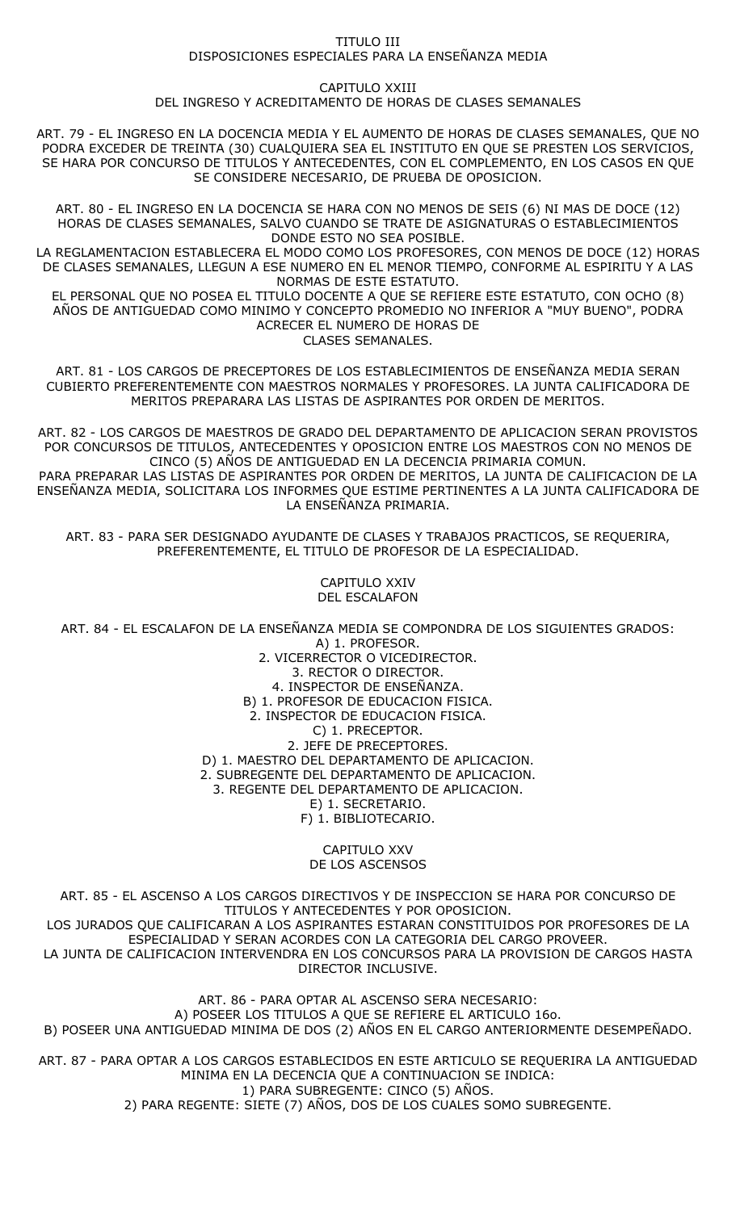### TITULO III DISPOSICIONES ESPECIALES PARA LA ENSEÑANZA MEDIA

### CAPITULO XXIII

DEL INGRESO Y ACREDITAMENTO DE HORAS DE CLASES SEMANALES

ART. 79 - EL INGRESO EN LA DOCENCIA MEDIA Y EL AUMENTO DE HORAS DE CLASES SEMANALES, QUE NO PODRA EXCEDER DE TREINTA (30) CUALQUIERA SEA EL INSTITUTO EN QUE SE PRESTEN LOS SERVICIOS, SE HARA POR CONCURSO DE TITULOS Y ANTECEDENTES, CON EL COMPLEMENTO, EN LOS CASOS EN QUE SE CONSIDERE NECESARIO, DE PRUEBA DE OPOSICION.

ART. 80 - EL INGRESO EN LA DOCENCIA SE HARA CON NO MENOS DE SEIS (6) NI MAS DE DOCE (12) HORAS DE CLASES SEMANALES, SALVO CUANDO SE TRATE DE ASIGNATURAS O ESTABLECIMIENTOS DONDE ESTO NO SEA POSIBLE.

LA REGLAMENTACION ESTABLECERA EL MODO COMO LOS PROFESORES, CON MENOS DE DOCE (12) HORAS DE CLASES SEMANALES, LLEGUN A ESE NUMERO EN EL MENOR TIEMPO, CONFORME AL ESPIRITU Y A LAS NORMAS DE ESTE ESTATUTO.

EL PERSONAL QUE NO POSEA EL TITULO DOCENTE A QUE SE REFIERE ESTE ESTATUTO, CON OCHO (8) AÑOS DE ANTIGUEDAD COMO MINIMO Y CONCEPTO PROMEDIO NO INFERIOR A "MUY BUENO", PODRA ACRECER EL NUMERO DE HORAS DE CLASES SEMANALES.

ART. 81 - LOS CARGOS DE PRECEPTORES DE LOS ESTABLECIMIENTOS DE ENSEÑANZA MEDIA SERAN CUBIERTO PREFERENTEMENTE CON MAESTROS NORMALES Y PROFESORES. LA JUNTA CALIFICADORA DE MERITOS PREPARARA LAS LISTAS DE ASPIRANTES POR ORDEN DE MERITOS.

ART. 82 - LOS CARGOS DE MAESTROS DE GRADO DEL DEPARTAMENTO DE APLICACION SERAN PROVISTOS POR CONCURSOS DE TITULOS, ANTECEDENTES Y OPOSICION ENTRE LOS MAESTROS CON NO MENOS DE CINCO (5) AÑOS DE ANTIGUEDAD EN LA DECENCIA PRIMARIA COMUN.

PARA PREPARAR LAS LISTAS DE ASPIRANTES POR ORDEN DE MERITOS, LA JUNTA DE CALIFICACION DE LA ENSEÑANZA MEDIA, SOLICITARA LOS INFORMES QUE ESTIME PERTINENTES A LA JUNTA CALIFICADORA DE LA ENSEÑANZA PRIMARIA.

ART. 83 - PARA SER DESIGNADO AYUDANTE DE CLASES Y TRABAJOS PRACTICOS, SE REQUERIRA, PREFERENTEMENTE, EL TITULO DE PROFESOR DE LA ESPECIALIDAD.

> CAPITULO XXIV DEL ESCALAFON

ART. 84 - EL ESCALAFON DE LA ENSEÑANZA MEDIA SE COMPONDRA DE LOS SIGUIENTES GRADOS:

A) 1. PROFESOR. 2. VICERRECTOR O VICEDIRECTOR. 3. RECTOR O DIRECTOR. 4. INSPECTOR DE ENSEÑANZA. B) 1. PROFESOR DE EDUCACION FISICA. 2. INSPECTOR DE EDUCACION FISICA. C) 1. PRECEPTOR. 2. JEFE DE PRECEPTORES. D) 1. MAESTRO DEL DEPARTAMENTO DE APLICACION. 2. SUBREGENTE DEL DEPARTAMENTO DE APLICACION. 3. REGENTE DEL DEPARTAMENTO DE APLICACION. E) 1. SECRETARIO. F) 1. BIBLIOTECARIO.

> CAPITULO XXV DE LOS ASCENSOS

ART. 85 - EL ASCENSO A LOS CARGOS DIRECTIVOS Y DE INSPECCION SE HARA POR CONCURSO DE TITULOS Y ANTECEDENTES Y POR OPOSICION. LOS JURADOS QUE CALIFICARAN A LOS ASPIRANTES ESTARAN CONSTITUIDOS POR PROFESORES DE LA ESPECIALIDAD Y SERAN ACORDES CON LA CATEGORIA DEL CARGO PROVEER. LA JUNTA DE CALIFICACION INTERVENDRA EN LOS CONCURSOS PARA LA PROVISION DE CARGOS HASTA DIRECTOR INCLUSIVE.

ART. 86 - PARA OPTAR AL ASCENSO SERA NECESARIO: A) POSEER LOS TITULOS A QUE SE REFIERE EL ARTICULO 16o. B) POSEER UNA ANTIGUEDAD MINIMA DE DOS (2) AÑOS EN EL CARGO ANTERIORMENTE DESEMPEÑADO.

ART. 87 - PARA OPTAR A LOS CARGOS ESTABLECIDOS EN ESTE ARTICULO SE REQUERIRA LA ANTIGUEDAD MINIMA EN LA DECENCIA QUE A CONTINUACION SE INDICA: 1) PARA SUBREGENTE: CINCO (5) AÑOS. 2) PARA REGENTE: SIETE (7) AÑOS, DOS DE LOS CUALES SOMO SUBREGENTE.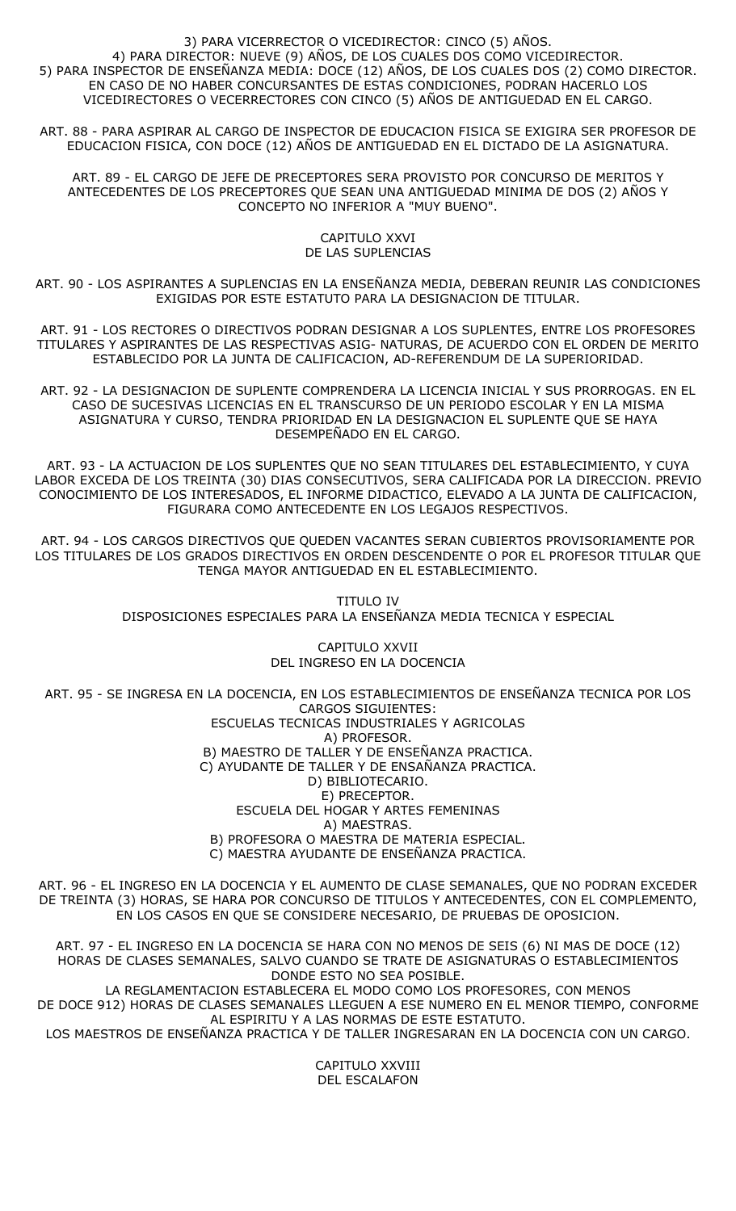### 3) PARA VICERRECTOR O VICEDIRECTOR: CINCO (5) AÑOS. 4) PARA DIRECTOR: NUEVE (9) AÑOS, DE LOS CUALES DOS COMO VICEDIRECTOR. 5) PARA INSPECTOR DE ENSEÑANZA MEDIA: DOCE (12) AÑOS, DE LOS CUALES DOS (2) COMO DIRECTOR. EN CASO DE NO HABER CONCURSANTES DE ESTAS CONDICIONES, PODRAN HACERLO LOS VICEDIRECTORES O VECERRECTORES CON CINCO (5) AÑOS DE ANTIGUEDAD EN EL CARGO.

ART. 88 - PARA ASPIRAR AL CARGO DE INSPECTOR DE EDUCACION FISICA SE EXIGIRA SER PROFESOR DE EDUCACION FISICA, CON DOCE (12) AÑOS DE ANTIGUEDAD EN EL DICTADO DE LA ASIGNATURA.

ART. 89 - EL CARGO DE JEFE DE PRECEPTORES SERA PROVISTO POR CONCURSO DE MERITOS Y ANTECEDENTES DE LOS PRECEPTORES QUE SEAN UNA ANTIGUEDAD MINIMA DE DOS (2) AÑOS Y CONCEPTO NO INFERIOR A "MUY BUENO".

### CAPITULO XXVI DE LAS SUPLENCIAS

ART. 90 - LOS ASPIRANTES A SUPLENCIAS EN LA ENSEÑANZA MEDIA, DEBERAN REUNIR LAS CONDICIONES EXIGIDAS POR ESTE ESTATUTO PARA LA DESIGNACION DE TITULAR.

ART. 91 - LOS RECTORES O DIRECTIVOS PODRAN DESIGNAR A LOS SUPLENTES, ENTRE LOS PROFESORES TITULARES Y ASPIRANTES DE LAS RESPECTIVAS ASIG- NATURAS, DE ACUERDO CON EL ORDEN DE MERITO ESTABLECIDO POR LA JUNTA DE CALIFICACION, AD-REFERENDUM DE LA SUPERIORIDAD.

ART. 92 - LA DESIGNACION DE SUPLENTE COMPRENDERA LA LICENCIA INICIAL Y SUS PRORROGAS. EN EL CASO DE SUCESIVAS LICENCIAS EN EL TRANSCURSO DE UN PERIODO ESCOLAR Y EN LA MISMA ASIGNATURA Y CURSO, TENDRA PRIORIDAD EN LA DESIGNACION EL SUPLENTE QUE SE HAYA DESEMPEÑADO EN EL CARGO.

ART. 93 - LA ACTUACION DE LOS SUPLENTES QUE NO SEAN TITULARES DEL ESTABLECIMIENTO, Y CUYA LABOR EXCEDA DE LOS TREINTA (30) DIAS CONSECUTIVOS, SERA CALIFICADA POR LA DIRECCION. PREVIO CONOCIMIENTO DE LOS INTERESADOS, EL INFORME DIDACTICO, ELEVADO A LA JUNTA DE CALIFICACION, FIGURARA COMO ANTECEDENTE EN LOS LEGAJOS RESPECTIVOS.

ART. 94 - LOS CARGOS DIRECTIVOS QUE QUEDEN VACANTES SERAN CUBIERTOS PROVISORIAMENTE POR LOS TITULARES DE LOS GRADOS DIRECTIVOS EN ORDEN DESCENDENTE O POR EL PROFESOR TITULAR QUE TENGA MAYOR ANTIGUEDAD EN EL ESTABLECIMIENTO.

> TITULO IV DISPOSICIONES ESPECIALES PARA LA ENSEÑANZA MEDIA TECNICA Y ESPECIAL

## CAPITULO XXVII DEL INGRESO EN LA DOCENCIA

ART. 95 - SE INGRESA EN LA DOCENCIA, EN LOS ESTABLECIMIENTOS DE ENSEÑANZA TECNICA POR LOS CARGOS SIGUIENTES: ESCUELAS TECNICAS INDUSTRIALES Y AGRICOLAS A) PROFESOR. B) MAESTRO DE TALLER Y DE ENSEÑANZA PRACTICA. C) AYUDANTE DE TALLER Y DE ENSAÑANZA PRACTICA. D) BIBLIOTECARIO. E) PRECEPTOR. ESCUELA DEL HOGAR Y ARTES FEMENINAS A) MAESTRAS. B) PROFESORA O MAESTRA DE MATERIA ESPECIAL. C) MAESTRA AYUDANTE DE ENSEÑANZA PRACTICA.

ART. 96 - EL INGRESO EN LA DOCENCIA Y EL AUMENTO DE CLASE SEMANALES, QUE NO PODRAN EXCEDER DE TREINTA (3) HORAS, SE HARA POR CONCURSO DE TITULOS Y ANTECEDENTES, CON EL COMPLEMENTO, EN LOS CASOS EN QUE SE CONSIDERE NECESARIO, DE PRUEBAS DE OPOSICION.

ART. 97 - EL INGRESO EN LA DOCENCIA SE HARA CON NO MENOS DE SEIS (6) NI MAS DE DOCE (12) HORAS DE CLASES SEMANALES, SALVO CUANDO SE TRATE DE ASIGNATURAS O ESTABLECIMIENTOS DONDE ESTO NO SEA POSIBLE. LA REGLAMENTACION ESTABLECERA EL MODO COMO LOS PROFESORES, CON MENOS

DE DOCE 912) HORAS DE CLASES SEMANALES LLEGUEN A ESE NUMERO EN EL MENOR TIEMPO, CONFORME AL ESPIRITU Y A LAS NORMAS DE ESTE ESTATUTO.

LOS MAESTROS DE ENSEÑANZA PRACTICA Y DE TALLER INGRESARAN EN LA DOCENCIA CON UN CARGO.

CAPITULO XXVIII DEL ESCALAFON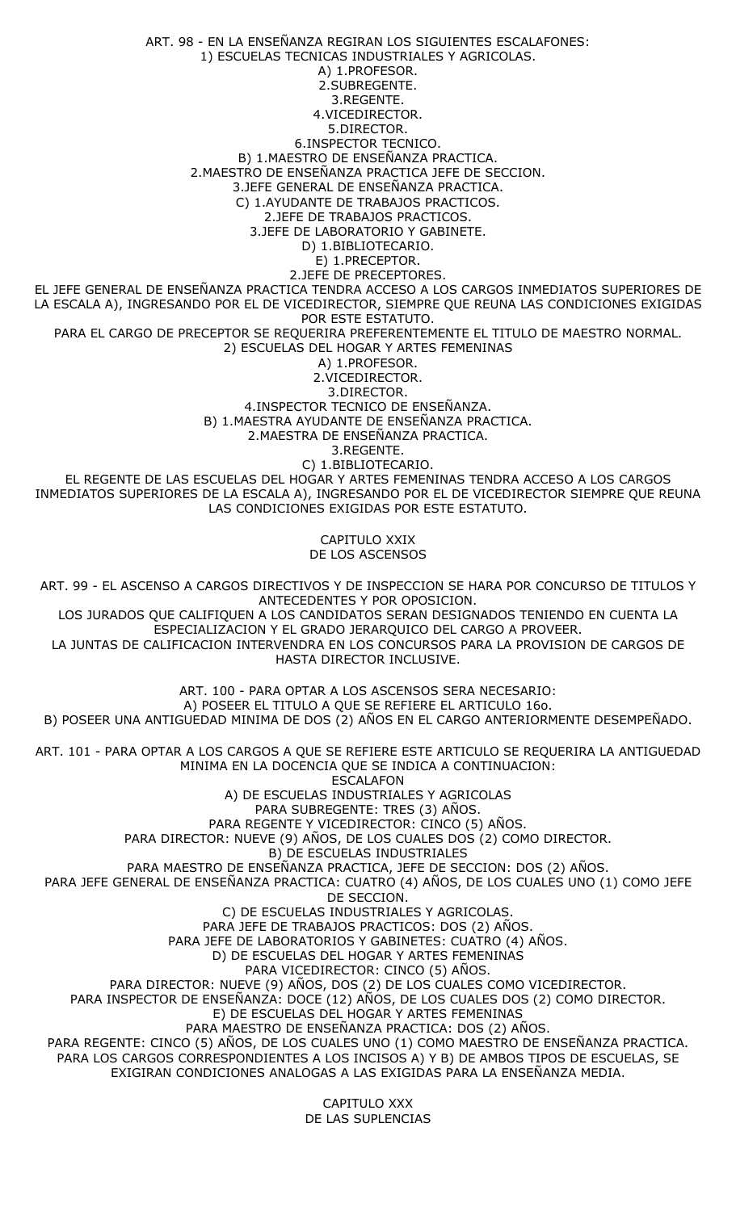ART. 98 - EN LA ENSEÑANZA REGIRAN LOS SIGUIENTES ESCALAFONES: 1) ESCUELAS TECNICAS INDUSTRIALES Y AGRICOLAS. A) 1.PROFESOR. 2.SUBREGENTE. 3.REGENTE. 4.VICEDIRECTOR. 5.DIRECTOR. 6.INSPECTOR TECNICO. B) 1.MAESTRO DE ENSEÑANZA PRACTICA. 2.MAESTRO DE ENSEÑANZA PRACTICA JEFE DE SECCION. 3.JEFE GENERAL DE ENSEÑANZA PRACTICA. C) 1.AYUDANTE DE TRABAJOS PRACTICOS. 2.JEFE DE TRABAJOS PRACTICOS. 3.JEFE DE LABORATORIO Y GABINETE. D) 1.BIBLIOTECARIO. E) 1.PRECEPTOR. 2.JEFE DE PRECEPTORES. EL JEFE GENERAL DE ENSEÑANZA PRACTICA TENDRA ACCESO A LOS CARGOS INMEDIATOS SUPERIORES DE LA ESCALA A), INGRESANDO POR EL DE VICEDIRECTOR, SIEMPRE QUE REUNA LAS CONDICIONES EXIGIDAS POR ESTE ESTATUTO. PARA EL CARGO DE PRECEPTOR SE REQUERIRA PREFERENTEMENTE EL TITULO DE MAESTRO NORMAL. 2) ESCUELAS DEL HOGAR Y ARTES FEMENINAS A) 1.PROFESOR. 2.VICEDIRECTOR. 3.DIRECTOR. 4.INSPECTOR TECNICO DE ENSEÑANZA. B) 1.MAESTRA AYUDANTE DE ENSEÑANZA PRACTICA. 2.MAESTRA DE ENSEÑANZA PRACTICA. 3.REGENTE. C) 1.BIBLIOTECARIO. EL REGENTE DE LAS ESCUELAS DEL HOGAR Y ARTES FEMENINAS TENDRA ACCESO A LOS CARGOS INMEDIATOS SUPERIORES DE LA ESCALA A), INGRESANDO POR EL DE VICEDIRECTOR SIEMPRE QUE REUNA LAS CONDICIONES EXIGIDAS POR ESTE ESTATUTO. CAPITULO XXIX DE LOS ASCENSOS ART. 99 - EL ASCENSO A CARGOS DIRECTIVOS Y DE INSPECCION SE HARA POR CONCURSO DE TITULOS Y ANTECEDENTES Y POR OPOSICION. LOS JURADOS QUE CALIFIQUEN A LOS CANDIDATOS SERAN DESIGNADOS TENIENDO EN CUENTA LA ESPECIALIZACION Y EL GRADO JERARQUICO DEL CARGO A PROVEER. LA JUNTAS DE CALIFICACION INTERVENDRA EN LOS CONCURSOS PARA LA PROVISION DE CARGOS DE HASTA DIRECTOR INCLUSIVE. ART. 100 - PARA OPTAR A LOS ASCENSOS SERA NECESARIO: A) POSEER EL TITULO A QUE SE REFIERE EL ARTICULO 16o. B) POSEER UNA ANTIGUEDAD MINIMA DE DOS (2) AÑOS EN EL CARGO ANTERIORMENTE DESEMPEÑADO. ART. 101 - PARA OPTAR A LOS CARGOS A QUE SE REFIERE ESTE ARTICULO SE REQUERIRA LA ANTIGUEDAD MINIMA EN LA DOCENCIA QUE SE INDICA A CONTINUACION: ESCALAFON A) DE ESCUELAS INDUSTRIALES Y AGRICOLAS PARA SUBREGENTE: TRES (3) AÑOS. PARA REGENTE Y VICEDIRECTOR: CINCO (5) AÑOS. PARA DIRECTOR: NUEVE (9) AÑOS, DE LOS CUALES DOS (2) COMO DIRECTOR. B) DE ESCUELAS INDUSTRIALES PARA MAESTRO DE ENSEÑANZA PRACTICA, JEFE DE SECCION: DOS (2) AÑOS. PARA JEFE GENERAL DE ENSEÑANZA PRACTICA: CUATRO (4) AÑOS, DE LOS CUALES UNO (1) COMO JEFE DE SECCION. C) DE ESCUELAS INDUSTRIALES Y AGRICOLAS. PARA JEFE DE TRABAJOS PRACTICOS: DOS (2) AÑOS. PARA JEFE DE LABORATORIOS Y GABINETES: CUATRO (4) AÑOS. D) DE ESCUELAS DEL HOGAR Y ARTES FEMENINAS PARA VICEDIRECTOR: CINCO (5) AÑOS. PARA DIRECTOR: NUEVE (9) AÑOS, DOS (2) DE LOS CUALES COMO VICEDIRECTOR. PARA INSPECTOR DE ENSEÑANZA: DOCE (12) AÑOS, DE LOS CUALES DOS (2) COMO DIRECTOR. E) DE ESCUELAS DEL HOGAR Y ARTES FEMENINAS PARA MAESTRO DE ENSEÑANZA PRACTICA: DOS (2) AÑOS. PARA REGENTE: CINCO (5) AÑOS, DE LOS CUALES UNO (1) COMO MAESTRO DE ENSEÑANZA PRACTICA. PARA LOS CARGOS CORRESPONDIENTES A LOS INCISOS A) Y B) DE AMBOS TIPOS DE ESCUELAS, SE EXIGIRAN CONDICIONES ANALOGAS A LAS EXIGIDAS PARA LA ENSEÑANZA MEDIA.

CAPITULO XXX DE LAS SUPLENCIAS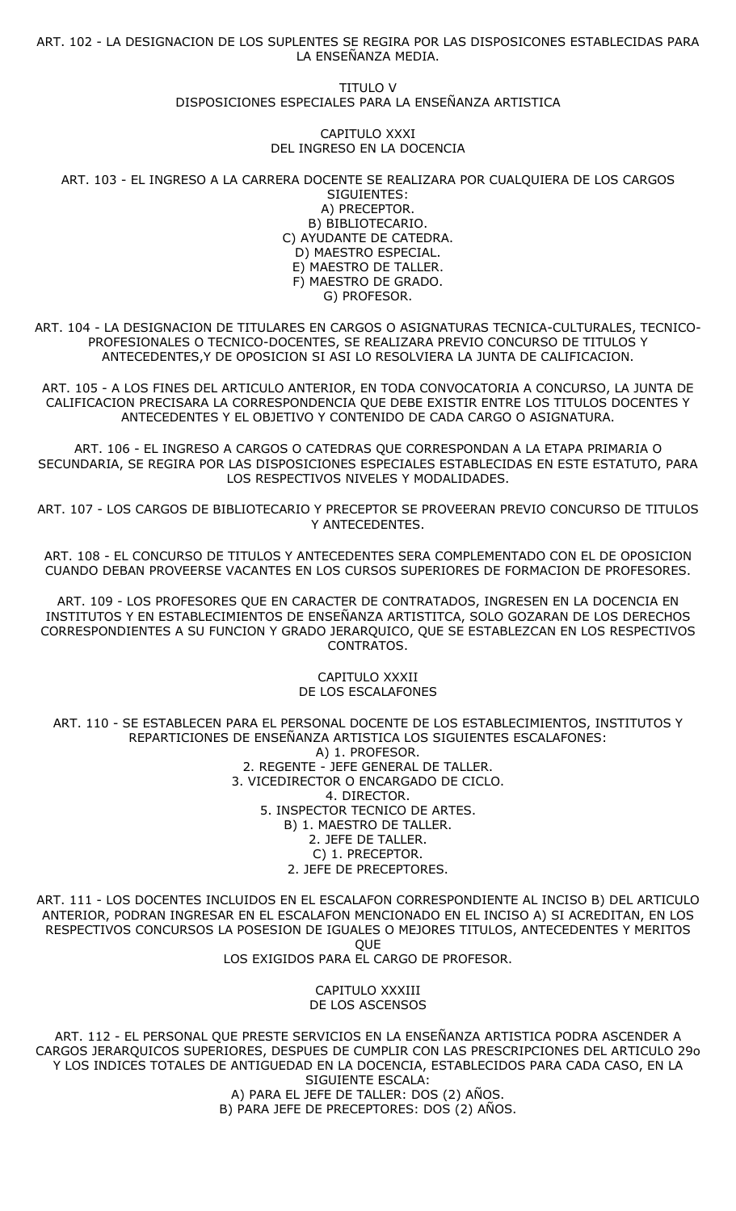ART. 102 - LA DESIGNACION DE LOS SUPLENTES SE REGIRA POR LAS DISPOSICONES ESTABLECIDAS PARA LA ENSEÑANZA MEDIA.

> TITULO V DISPOSICIONES ESPECIALES PARA LA ENSEÑANZA ARTISTICA

> > CAPITULO XXXI DEL INGRESO EN LA DOCENCIA

ART. 103 - EL INGRESO A LA CARRERA DOCENTE SE REALIZARA POR CUALQUIERA DE LOS CARGOS SIGUIENTES:

A) PRECEPTOR. B) BIBLIOTECARIO. C) AYUDANTE DE CATEDRA. D) MAESTRO ESPECIAL. E) MAESTRO DE TALLER. F) MAESTRO DE GRADO. G) PROFESOR.

ART. 104 - LA DESIGNACION DE TITULARES EN CARGOS O ASIGNATURAS TECNICA-CULTURALES, TECNICO-PROFESIONALES O TECNICO-DOCENTES, SE REALIZARA PREVIO CONCURSO DE TITULOS Y ANTECEDENTES,Y DE OPOSICION SI ASI LO RESOLVIERA LA JUNTA DE CALIFICACION.

ART. 105 - A LOS FINES DEL ARTICULO ANTERIOR, EN TODA CONVOCATORIA A CONCURSO, LA JUNTA DE CALIFICACION PRECISARA LA CORRESPONDENCIA QUE DEBE EXISTIR ENTRE LOS TITULOS DOCENTES Y ANTECEDENTES Y EL OBJETIVO Y CONTENIDO DE CADA CARGO O ASIGNATURA.

ART. 106 - EL INGRESO A CARGOS O CATEDRAS QUE CORRESPONDAN A LA ETAPA PRIMARIA O SECUNDARIA, SE REGIRA POR LAS DISPOSICIONES ESPECIALES ESTABLECIDAS EN ESTE ESTATUTO, PARA LOS RESPECTIVOS NIVELES Y MODALIDADES.

ART. 107 - LOS CARGOS DE BIBLIOTECARIO Y PRECEPTOR SE PROVEERAN PREVIO CONCURSO DE TITULOS Y ANTECEDENTES.

ART. 108 - EL CONCURSO DE TITULOS Y ANTECEDENTES SERA COMPLEMENTADO CON EL DE OPOSICION CUANDO DEBAN PROVEERSE VACANTES EN LOS CURSOS SUPERIORES DE FORMACION DE PROFESORES.

ART. 109 - LOS PROFESORES QUE EN CARACTER DE CONTRATADOS, INGRESEN EN LA DOCENCIA EN INSTITUTOS Y EN ESTABLECIMIENTOS DE ENSEÑANZA ARTISTITCA, SOLO GOZARAN DE LOS DERECHOS CORRESPONDIENTES A SU FUNCION Y GRADO JERARQUICO, QUE SE ESTABLEZCAN EN LOS RESPECTIVOS CONTRATOS.

#### CAPITULO XXXII DE LOS ESCALAFONES

ART. 110 - SE ESTABLECEN PARA EL PERSONAL DOCENTE DE LOS ESTABLECIMIENTOS, INSTITUTOS Y REPARTICIONES DE ENSEÑANZA ARTISTICA LOS SIGUIENTES ESCALAFONES: A) 1. PROFESOR. 2. REGENTE - JEFE GENERAL DE TALLER. 3. VICEDIRECTOR O ENCARGADO DE CICLO. 4. DIRECTOR. 5. INSPECTOR TECNICO DE ARTES. B) 1. MAESTRO DE TALLER. 2. JEFE DE TALLER. C) 1. PRECEPTOR. 2. JEFE DE PRECEPTORES.

ART. 111 - LOS DOCENTES INCLUIDOS EN EL ESCALAFON CORRESPONDIENTE AL INCISO B) DEL ARTICULO ANTERIOR, PODRAN INGRESAR EN EL ESCALAFON MENCIONADO EN EL INCISO A) SI ACREDITAN, EN LOS RESPECTIVOS CONCURSOS LA POSESION DE IGUALES O MEJORES TITULOS, ANTECEDENTES Y MERITOS **OUE** LOS EXIGIDOS PARA EL CARGO DE PROFESOR.

> CAPITULO XXXIII DE LOS ASCENSOS

ART. 112 - EL PERSONAL QUE PRESTE SERVICIOS EN LA ENSEÑANZA ARTISTICA PODRA ASCENDER A CARGOS JERARQUICOS SUPERIORES, DESPUES DE CUMPLIR CON LAS PRESCRIPCIONES DEL ARTICULO 29o Y LOS INDICES TOTALES DE ANTIGUEDAD EN LA DOCENCIA, ESTABLECIDOS PARA CADA CASO, EN LA SIGUIENTE ESCALA: A) PARA EL JEFE DE TALLER: DOS (2) AÑOS.

B) PARA JEFE DE PRECEPTORES: DOS (2) AÑOS.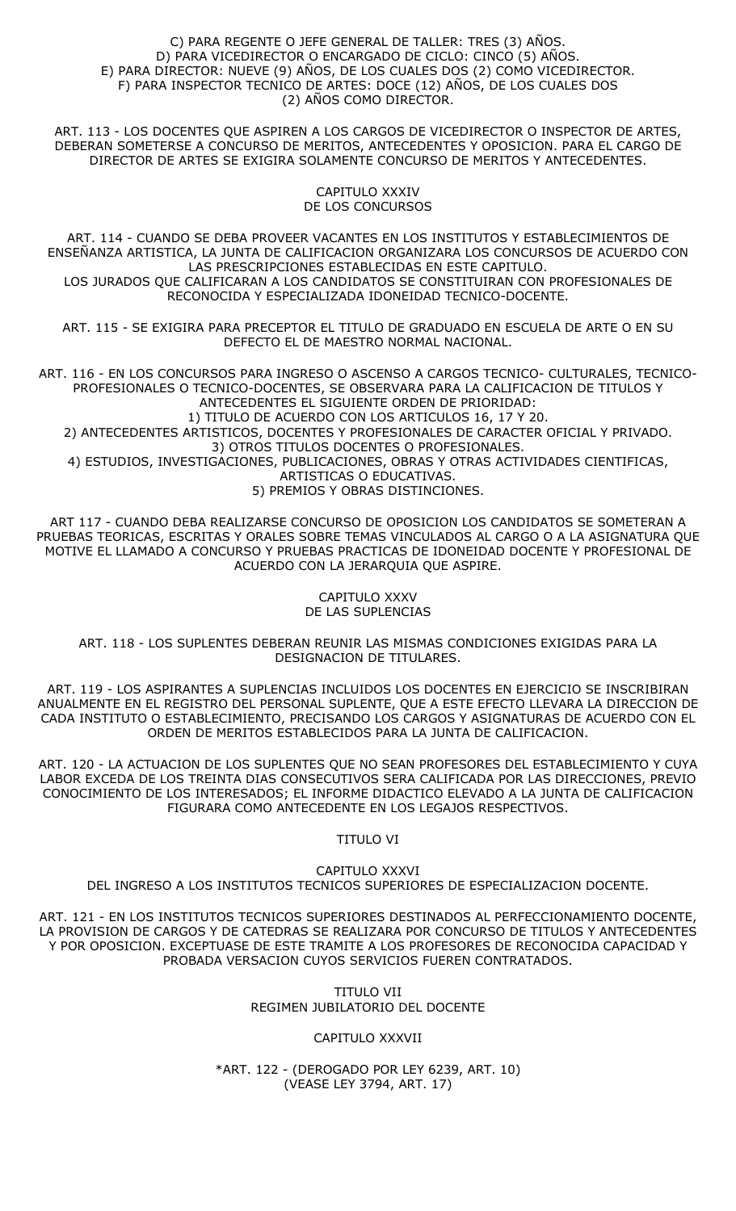#### C) PARA REGENTE O JEFE GENERAL DE TALLER: TRES (3) AÑOS. D) PARA VICEDIRECTOR O ENCARGADO DE CICLO: CINCO (5) AÑOS. E) PARA DIRECTOR: NUEVE (9) AÑOS, DE LOS CUALES DOS (2) COMO VICEDIRECTOR. F) PARA INSPECTOR TECNICO DE ARTES: DOCE (12) AÑOS, DE LOS CUALES DOS (2) AÑOS COMO DIRECTOR.

ART. 113 - LOS DOCENTES QUE ASPIREN A LOS CARGOS DE VICEDIRECTOR O INSPECTOR DE ARTES, DEBERAN SOMETERSE A CONCURSO DE MERITOS, ANTECEDENTES Y OPOSICION. PARA EL CARGO DE DIRECTOR DE ARTES SE EXIGIRA SOLAMENTE CONCURSO DE MERITOS Y ANTECEDENTES.

> CAPITULO XXXIV DE LOS CONCURSOS

ART. 114 - CUANDO SE DEBA PROVEER VACANTES EN LOS INSTITUTOS Y ESTABLECIMIENTOS DE ENSEÑANZA ARTISTICA, LA JUNTA DE CALIFICACION ORGANIZARA LOS CONCURSOS DE ACUERDO CON LAS PRESCRIPCIONES ESTABLECIDAS EN ESTE CAPITULO. LOS JURADOS QUE CALIFICARAN A LOS CANDIDATOS SE CONSTITUIRAN CON PROFESIONALES DE RECONOCIDA Y ESPECIALIZADA IDONEIDAD TECNICO-DOCENTE.

ART. 115 - SE EXIGIRA PARA PRECEPTOR EL TITULO DE GRADUADO EN ESCUELA DE ARTE O EN SU DEFECTO EL DE MAESTRO NORMAL NACIONAL.

ART. 116 - EN LOS CONCURSOS PARA INGRESO O ASCENSO A CARGOS TECNICO- CULTURALES, TECNICO-PROFESIONALES O TECNICO-DOCENTES, SE OBSERVARA PARA LA CALIFICACION DE TITULOS Y ANTECEDENTES EL SIGUIENTE ORDEN DE PRIORIDAD: 1) TITULO DE ACUERDO CON LOS ARTICULOS 16, 17 Y 20. 2) ANTECEDENTES ARTISTICOS, DOCENTES Y PROFESIONALES DE CARACTER OFICIAL Y PRIVADO. 3) OTROS TITULOS DOCENTES O PROFESIONALES. 4) ESTUDIOS, INVESTIGACIONES, PUBLICACIONES, OBRAS Y OTRAS ACTIVIDADES CIENTIFICAS,

ARTISTICAS O EDUCATIVAS.

5) PREMIOS Y OBRAS DISTINCIONES.

ART 117 - CUANDO DEBA REALIZARSE CONCURSO DE OPOSICION LOS CANDIDATOS SE SOMETERAN A PRUEBAS TEORICAS, ESCRITAS Y ORALES SOBRE TEMAS VINCULADOS AL CARGO O A LA ASIGNATURA QUE MOTIVE EL LLAMADO A CONCURSO Y PRUEBAS PRACTICAS DE IDONEIDAD DOCENTE Y PROFESIONAL DE ACUERDO CON LA JERARQUIA QUE ASPIRE.

## CAPITULO XXXV DE LAS SUPLENCIAS

ART. 118 - LOS SUPLENTES DEBERAN REUNIR LAS MISMAS CONDICIONES EXIGIDAS PARA LA DESIGNACION DE TITULARES.

ART. 119 - LOS ASPIRANTES A SUPLENCIAS INCLUIDOS LOS DOCENTES EN EJERCICIO SE INSCRIBIRAN ANUALMENTE EN EL REGISTRO DEL PERSONAL SUPLENTE, QUE A ESTE EFECTO LLEVARA LA DIRECCION DE CADA INSTITUTO O ESTABLECIMIENTO, PRECISANDO LOS CARGOS Y ASIGNATURAS DE ACUERDO CON EL ORDEN DE MERITOS ESTABLECIDOS PARA LA JUNTA DE CALIFICACION.

ART. 120 - LA ACTUACION DE LOS SUPLENTES QUE NO SEAN PROFESORES DEL ESTABLECIMIENTO Y CUYA LABOR EXCEDA DE LOS TREINTA DIAS CONSECUTIVOS SERA CALIFICADA POR LAS DIRECCIONES, PREVIO CONOCIMIENTO DE LOS INTERESADOS; EL INFORME DIDACTICO ELEVADO A LA JUNTA DE CALIFICACION FIGURARA COMO ANTECEDENTE EN LOS LEGAJOS RESPECTIVOS.

# TITULO VI

CAPITULO XXXVI DEL INGRESO A LOS INSTITUTOS TECNICOS SUPERIORES DE ESPECIALIZACION DOCENTE.

ART. 121 - EN LOS INSTITUTOS TECNICOS SUPERIORES DESTINADOS AL PERFECCIONAMIENTO DOCENTE, LA PROVISION DE CARGOS Y DE CATEDRAS SE REALIZARA POR CONCURSO DE TITULOS Y ANTECEDENTES Y POR OPOSICION. EXCEPTUASE DE ESTE TRAMITE A LOS PROFESORES DE RECONOCIDA CAPACIDAD Y PROBADA VERSACION CUYOS SERVICIOS FUEREN CONTRATADOS.

## TITULO VII REGIMEN JUBILATORIO DEL DOCENTE

# CAPITULO XXXVII

\*ART. 122 - (DEROGADO POR LEY 6239, ART. 10) (VEASE LEY 3794, ART. 17)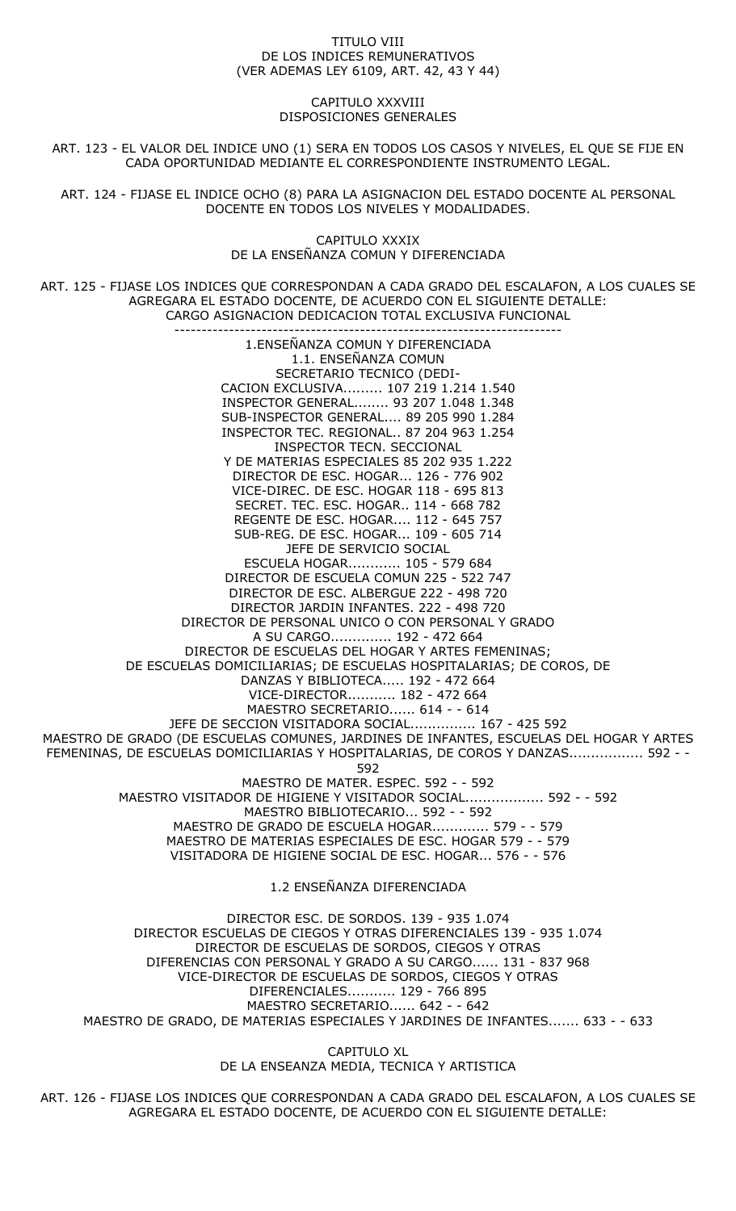#### TITULO VIII DE LOS INDICES REMUNERATIVOS (VER ADEMAS LEY 6109, ART. 42, 43 Y 44)

### CAPITULO XXXVIII DISPOSICIONES GENERALES

ART. 123 - EL VALOR DEL INDICE UNO (1) SERA EN TODOS LOS CASOS Y NIVELES, EL QUE SE FIJE EN CADA OPORTUNIDAD MEDIANTE EL CORRESPONDIENTE INSTRUMENTO LEGAL.

ART. 124 - FIJASE EL INDICE OCHO (8) PARA LA ASIGNACION DEL ESTADO DOCENTE AL PERSONAL DOCENTE EN TODOS LOS NIVELES Y MODALIDADES.

> CAPITULO XXXIX DE LA ENSEÑANZA COMUN Y DIFERENCIADA

ART. 125 - FIJASE LOS INDICES QUE CORRESPONDAN A CADA GRADO DEL ESCALAFON, A LOS CUALES SE AGREGARA EL ESTADO DOCENTE, DE ACUERDO CON EL SIGUIENTE DETALLE: CARGO ASIGNACION DEDICACION TOTAL EXCLUSIVA FUNCIONAL

----------------------------------------------------------------------- 1.ENSEÑANZA COMUN Y DIFERENCIADA 1.1. ENSEÑANZA COMUN SECRETARIO TECNICO (DEDI-CACION EXCLUSIVA......... 107 219 1.214 1.540 INSPECTOR GENERAL........ 93 207 1.048 1.348 SUB-INSPECTOR GENERAL.... 89 205 990 1.284 INSPECTOR TEC. REGIONAL.. 87 204 963 1.254 INSPECTOR TECN. SECCIONAL Y DE MATERIAS ESPECIALES 85 202 935 1.222 DIRECTOR DE ESC. HOGAR... 126 - 776 902 VICE-DIREC. DE ESC. HOGAR 118 - 695 813 SECRET. TEC. ESC. HOGAR.. 114 - 668 782 REGENTE DE ESC. HOGAR.... 112 - 645 757 SUB-REG. DE ESC. HOGAR... 109 - 605 714 JEFE DE SERVICIO SOCIAL ESCUELA HOGAR............ 105 - 579 684 DIRECTOR DE ESCUELA COMUN 225 - 522 747 DIRECTOR DE ESC. ALBERGUE 222 - 498 720 DIRECTOR JARDIN INFANTES. 222 - 498 720 DIRECTOR DE PERSONAL UNICO O CON PERSONAL Y GRADO A SU CARGO.............. 192 - 472 664 DIRECTOR DE ESCUELAS DEL HOGAR Y ARTES FEMENINAS; DE ESCUELAS DOMICILIARIAS; DE ESCUELAS HOSPITALARIAS; DE COROS, DE DANZAS Y BIBLIOTECA..... 192 - 472 664 VICE-DIRECTOR........... 182 - 472 664 MAESTRO SECRETARIO...... 614 - - 614 JEFE DE SECCION VISITADORA SOCIAL............... 167 - 425 592 MAESTRO DE GRADO (DE ESCUELAS COMUNES, JARDINES DE INFANTES, ESCUELAS DEL HOGAR Y ARTES FEMENINAS, DE ESCUELAS DOMICILIARIAS Y HOSPITALARIAS, DE COROS Y DANZAS................. 592 - - 592 MAESTRO DE MATER. ESPEC. 592 - - 592 MAESTRO VISITADOR DE HIGIENE Y VISITADOR SOCIAL.................. 592 - - 592 MAESTRO BIBLIOTECARIO... 592 - - 592 MAESTRO DE GRADO DE ESCUELA HOGAR............. 579 - - 579 MAESTRO DE MATERIAS ESPECIALES DE ESC. HOGAR 579 - - 579 VISITADORA DE HIGIENE SOCIAL DE ESC. HOGAR... 576 - - 576 1.2 ENSEÑANZA DIFERENCIADA

DIRECTOR ESC. DE SORDOS. 139 - 935 1.074 DIRECTOR ESCUELAS DE CIEGOS Y OTRAS DIFERENCIALES 139 - 935 1.074 DIRECTOR DE ESCUELAS DE SORDOS, CIEGOS Y OTRAS DIFERENCIAS CON PERSONAL Y GRADO A SU CARGO...... 131 - 837 968 VICE-DIRECTOR DE ESCUELAS DE SORDOS, CIEGOS Y OTRAS DIFERENCIALES........... 129 - 766 895 MAESTRO SECRETARIO...... 642 - - 642 MAESTRO DE GRADO, DE MATERIAS ESPECIALES Y JARDINES DE INFANTES....... 633 - - 633

> CAPITULO XL DE LA ENSEANZA MEDIA, TECNICA Y ARTISTICA

ART. 126 - FIJASE LOS INDICES QUE CORRESPONDAN A CADA GRADO DEL ESCALAFON, A LOS CUALES SE AGREGARA EL ESTADO DOCENTE, DE ACUERDO CON EL SIGUIENTE DETALLE: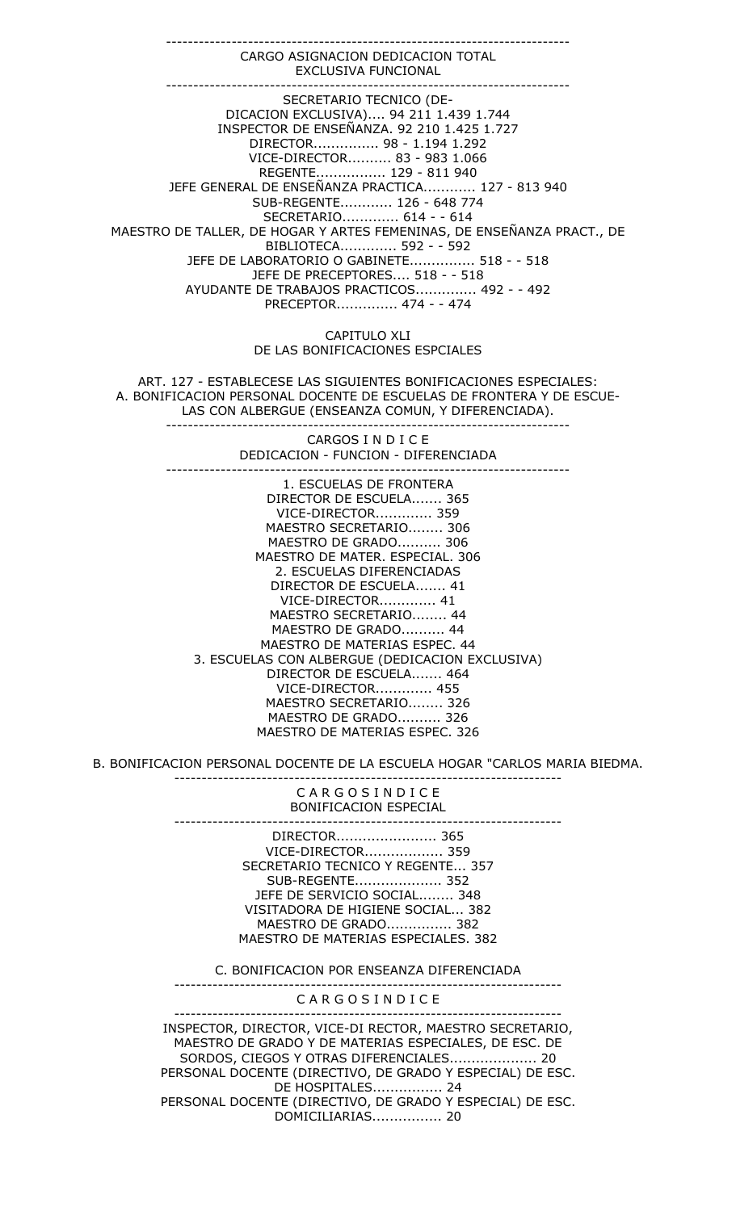CARGO ASIGNACION DEDICACION TOTAL EXCLUSIVA FUNCIONAL -------------------------------------------------------------------------- SECRETARIO TECNICO (DE-DICACION EXCLUSIVA).... 94 211 1.439 1.744 INSPECTOR DE ENSEÑANZA. 92 210 1.425 1.727 DIRECTOR............... 98 - 1.194 1.292 VICE-DIRECTOR.......... 83 - 983 1.066 REGENTE................ 129 - 811 940 JEFE GENERAL DE ENSEÑANZA PRACTICA............ 127 - 813 940 SUB-REGENTE............ 126 - 648 774 SECRETARIO............. 614 - - 614 MAESTRO DE TALLER, DE HOGAR Y ARTES FEMENINAS, DE ENSEÑANZA PRACT., DE BIBLIOTECA............. 592 - - 592 JEFE DE LABORATORIO O GABINETE............... 518 - - 518 JEFE DE PRECEPTORES.... 518 - - 518 AYUDANTE DE TRABAJOS PRACTICOS.............. 492 - - 492 PRECEPTOR.............. 474 - - 474

--------------------------------------------------------------------------

CAPITULO XLI DE LAS BONIFICACIONES ESPCIALES

ART. 127 - ESTABLECESE LAS SIGUIENTES BONIFICACIONES ESPECIALES: A. BONIFICACION PERSONAL DOCENTE DE ESCUELAS DE FRONTERA Y DE ESCUE-LAS CON ALBERGUE (ENSEANZA COMUN, Y DIFERENCIADA). --------------------------------------------------------------------------

> CARGOS I N D I C E DEDICACION - FUNCION - DIFERENCIADA --------------------------------------------------------------------------

1. ESCUELAS DE FRONTERA DIRECTOR DE ESCUELA....... 365 VICE-DIRECTOR............. 359 MAESTRO SECRETARIO........ 306 MAESTRO DE GRADO.......... 306 MAESTRO DE MATER. ESPECIAL. 306 2. ESCUELAS DIFERENCIADAS DIRECTOR DE ESCUELA....... 41 VICE-DIRECTOR............. 41 MAESTRO SECRETARIO........ 44 MAESTRO DE GRADO.......... 44 MAESTRO DE MATERIAS ESPEC. 44 3. ESCUELAS CON ALBERGUE (DEDICACION EXCLUSIVA) DIRECTOR DE ESCUELA....... 464 VICE-DIRECTOR............. 455 MAESTRO SECRETARIO........ 326 MAESTRO DE GRADO.......... 326 MAESTRO DE MATERIAS ESPEC. 326

B. BONIFICACION PERSONAL DOCENTE DE LA ESCUELA HOGAR "CARLOS MARIA BIEDMA.

-----------------------------------------------------------------------

C A R G O S I N D I C E BONIFICACION ESPECIAL

-----------------------------------------------------------------------

DIRECTOR....................... 365 VICE-DIRECTOR.................. 359 SECRETARIO TECNICO Y REGENTE... 357 SUB-REGENTE.................... 352 JEFE DE SERVICIO SOCIAL........ 348 VISITADORA DE HIGIENE SOCIAL... 382 MAESTRO DE GRADO............... 382 MAESTRO DE MATERIAS ESPECIALES. 382

C. BONIFICACION POR ENSEANZA DIFERENCIADA

----------------------------------------------------------------------- C A R G O S I N D I C E -----------------------------------------------------------------------

INSPECTOR, DIRECTOR, VICE-DI RECTOR, MAESTRO SECRETARIO, MAESTRO DE GRADO Y DE MATERIAS ESPECIALES, DE ESC. DE SORDOS, CIEGOS Y OTRAS DIFERENCIALES.................... 20 PERSONAL DOCENTE (DIRECTIVO, DE GRADO Y ESPECIAL) DE ESC. DE HOSPITALES................ 24 PERSONAL DOCENTE (DIRECTIVO, DE GRADO Y ESPECIAL) DE ESC. DOMICILIARIAS................ 20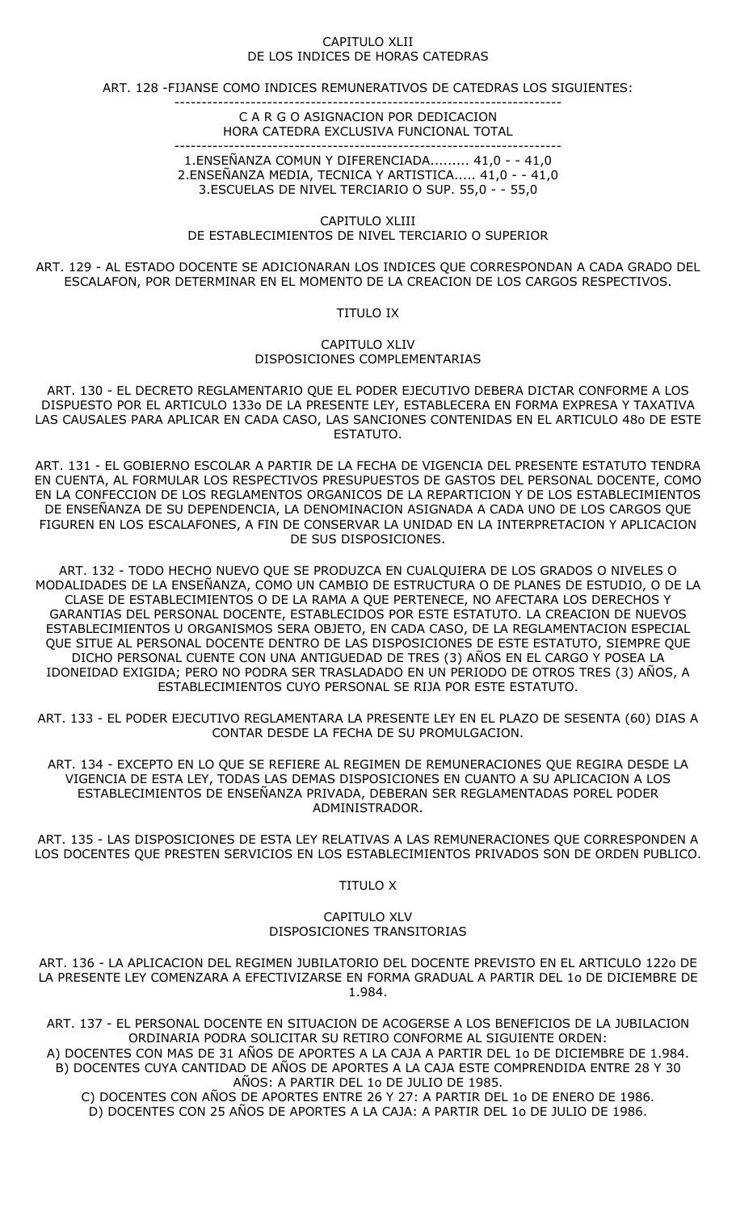#### CAPITULO XLII DE LOS INDICES DE HORAS CATEDRAS

ART. 128 -FIJANSE COMO INDICES REMUNERATIVOS DE CATEDRAS LOS SIGUIENTES:

-----------------------------------------------------------------------

#### C A R G O ASIGNACION POR DEDICACION HORA CATEDRA EXCLUSIVA FUNCIONAL TOTAL

----------------------------------------------------------------------- 1.ENSEÑANZA COMUN Y DIFERENCIADA......... 41,0 - - 41,0 2.ENSEÑANZA MEDIA, TECNICA Y ARTISTICA..... 41,0 - - 41,0 3.ESCUELAS DE NIVEL TERCIARIO O SUP. 55,0 - - 55,0

CAPITULO XLIII DE ESTABLECIMIENTOS DE NIVEL TERCIARIO O SUPERIOR

ART. 129 - AL ESTADO DOCENTE SE ADICIONARAN LOS INDICES QUE CORRESPONDAN A CADA GRADO DEL ESCALAFON, POR DETERMINAR EN EL MOMENTO DE LA CREACION DE LOS CARGOS RESPECTIVOS.

TITULO IX

CAPITULO XLIV DISPOSICIONES COMPLEMENTARIAS

ART. 130 - EL DECRETO REGLAMENTARIO QUE EL PODER EJECUTIVO DEBERA DICTAR CONFORME A LOS DISPUESTO POR EL ARTICULO 133o DE LA PRESENTE LEY, ESTABLECERA EN FORMA EXPRESA Y TAXATIVA LAS CAUSALES PARA APLICAR EN CADA CASO, LAS SANCIONES CONTENIDAS EN EL ARTICULO 48o DE ESTE ESTATUTO.

ART. 131 - EL GOBIERNO ESCOLAR A PARTIR DE LA FECHA DE VIGENCIA DEL PRESENTE ESTATUTO TENDRA EN CUENTA, AL FORMULAR LOS RESPECTIVOS PRESUPUESTOS DE GASTOS DEL PERSONAL DOCENTE, COMO EN LA CONFECCION DE LOS REGLAMENTOS ORGANICOS DE LA REPARTICION Y DE LOS ESTABLECIMIENTOS DE ENSEÑANZA DE SU DEPENDENCIA, LA DENOMINACION ASIGNADA A CADA UNO DE LOS CARGOS QUE FIGUREN EN LOS ESCALAFONES, A FIN DE CONSERVAR LA UNIDAD EN LA INTERPRETACION Y APLICACION DE SUS DISPOSICIONES.

ART. 132 - TODO HECHO NUEVO QUE SE PRODUZCA EN CUALQUIERA DE LOS GRADOS O NIVELES O MODALIDADES DE LA ENSEÑANZA, COMO UN CAMBIO DE ESTRUCTURA O DE PLANES DE ESTUDIO, O DE LA CLASE DE ESTABLECIMIENTOS O DE LA RAMA A QUE PERTENECE, NO AFECTARA LOS DERECHOS Y GARANTIAS DEL PERSONAL DOCENTE, ESTABLECIDOS POR ESTE ESTATUTO. LA CREACION DE NUEVOS ESTABLECIMIENTOS U ORGANISMOS SERA OBJETO, EN CADA CASO, DE LA REGLAMENTACION ESPECIAL QUE SITUE AL PERSONAL DOCENTE DENTRO DE LAS DISPOSICIONES DE ESTE ESTATUTO, SIEMPRE QUE DICHO PERSONAL CUENTE CON UNA ANTIGUEDAD DE TRES (3) AÑOS EN EL CARGO Y POSEA LA IDONEIDAD EXIGIDA; PERO NO PODRA SER TRASLADADO EN UN PERIODO DE OTROS TRES (3) AÑOS, A ESTABLECIMIENTOS CUYO PERSONAL SE RIJA POR ESTE ESTATUTO.

ART. 133 - EL PODER EJECUTIVO REGLAMENTARA LA PRESENTE LEY EN EL PLAZO DE SESENTA (60) DIAS A CONTAR DESDE LA FECHA DE SU PROMULGACION.

ART. 134 - EXCEPTO EN LO QUE SE REFIERE AL REGIMEN DE REMUNERACIONES QUE REGIRA DESDE LA VIGENCIA DE ESTA LEY, TODAS LAS DEMAS DISPOSICIONES EN CUANTO A SU APLICACION A LOS ESTABLECIMIENTOS DE ENSEÑANZA PRIVADA, DEBERAN SER REGLAMENTADAS POREL PODER ADMINISTRADOR.

ART. 135 - LAS DISPOSICIONES DE ESTA LEY RELATIVAS A LAS REMUNERACIONES QUE CORRESPONDEN A LOS DOCENTES QUE PRESTEN SERVICIOS EN LOS ESTABLECIMIENTOS PRIVADOS SON DE ORDEN PUBLICO.

TITULO X

## CAPITULO XLV DISPOSICIONES TRANSITORIAS

ART. 136 - LA APLICACION DEL REGIMEN JUBILATORIO DEL DOCENTE PREVISTO EN EL ARTICULO 122o DE LA PRESENTE LEY COMENZARA A EFECTIVIZARSE EN FORMA GRADUAL A PARTIR DEL 1o DE DICIEMBRE DE 1.984.

ART. 137 - EL PERSONAL DOCENTE EN SITUACION DE ACOGERSE A LOS BENEFICIOS DE LA JUBILACION ORDINARIA PODRA SOLICITAR SU RETIRO CONFORME AL SIGUIENTE ORDEN:

A) DOCENTES CON MAS DE 31 AÑOS DE APORTES A LA CAJA A PARTIR DEL 1o DE DICIEMBRE DE 1.984. B) DOCENTES CUYA CANTIDAD DE AÑOS DE APORTES A LA CAJA ESTE COMPRENDIDA ENTRE 28 Y 30 AÑOS: A PARTIR DEL 1o DE JULIO DE 1985.

C) DOCENTES CON AÑOS DE APORTES ENTRE 26 Y 27: A PARTIR DEL 1o DE ENERO DE 1986. D) DOCENTES CON 25 AÑOS DE APORTES A LA CAJA: A PARTIR DEL 1o DE JULIO DE 1986.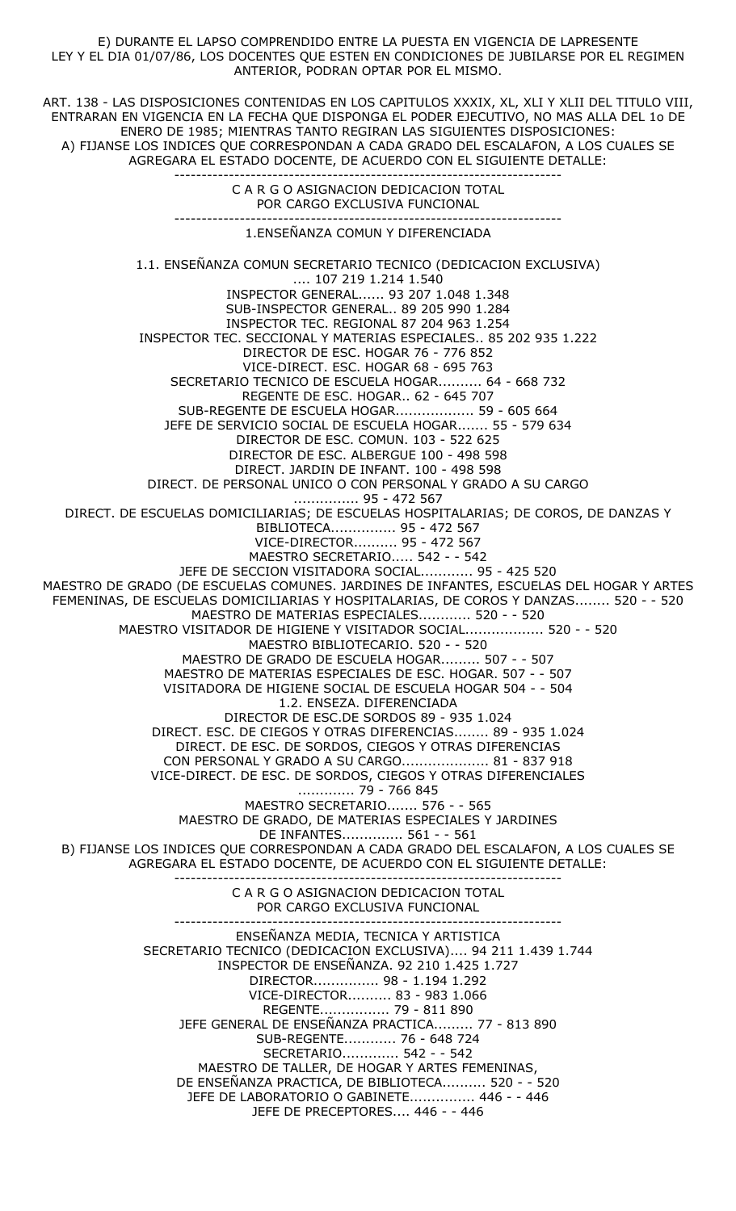E) DURANTE EL LAPSO COMPRENDIDO ENTRE LA PUESTA EN VIGENCIA DE LAPRESENTE LEY Y EL DIA 01/07/86, LOS DOCENTES QUE ESTEN EN CONDICIONES DE JUBILARSE POR EL REGIMEN ANTERIOR, PODRAN OPTAR POR EL MISMO.

ART. 138 - LAS DISPOSICIONES CONTENIDAS EN LOS CAPITULOS XXXIX, XL, XLI Y XLII DEL TITULO VIII, ENTRARAN EN VIGENCIA EN LA FECHA QUE DISPONGA EL PODER EJECUTIVO, NO MAS ALLA DEL 1o DE ENERO DE 1985; MIENTRAS TANTO REGIRAN LAS SIGUIENTES DISPOSICIONES: A) FIJANSE LOS INDICES QUE CORRESPONDAN A CADA GRADO DEL ESCALAFON, A LOS CUALES SE AGREGARA EL ESTADO DOCENTE, DE ACUERDO CON EL SIGUIENTE DETALLE:

> C A R G O ASIGNACION DEDICACION TOTAL POR CARGO EXCLUSIVA FUNCIONAL

-----------------------------------------------------------------------

----------------------------------------------------------------------- 1.ENSEÑANZA COMUN Y DIFERENCIADA

1.1. ENSEÑANZA COMUN SECRETARIO TECNICO (DEDICACION EXCLUSIVA) .... 107 219 1.214 1.540 INSPECTOR GENERAL...... 93 207 1.048 1.348 SUB-INSPECTOR GENERAL.. 89 205 990 1.284 INSPECTOR TEC. REGIONAL 87 204 963 1.254 INSPECTOR TEC. SECCIONAL Y MATERIAS ESPECIALES.. 85 202 935 1.222 DIRECTOR DE ESC. HOGAR 76 - 776 852 VICE-DIRECT. ESC. HOGAR 68 - 695 763 SECRETARIO TECNICO DE ESCUELA HOGAR.......... 64 - 668 732 REGENTE DE ESC. HOGAR.. 62 - 645 707 SUB-REGENTE DE ESCUELA HOGAR.................. 59 - 605 664 JEFE DE SERVICIO SOCIAL DE ESCUELA HOGAR....... 55 - 579 634 DIRECTOR DE ESC. COMUN. 103 - 522 625 DIRECTOR DE ESC. ALBERGUE 100 - 498 598 DIRECT. JARDIN DE INFANT. 100 - 498 598 DIRECT. DE PERSONAL UNICO O CON PERSONAL Y GRADO A SU CARGO ............... 95 - 472 567 DIRECT. DE ESCUELAS DOMICILIARIAS; DE ESCUELAS HOSPITALARIAS; DE COROS, DE DANZAS Y BIBLIOTECA............... 95 - 472 567 VICE-DIRECTOR.......... 95 - 472 567 MAESTRO SECRETARIO..... 542 - - 542 JEFE DE SECCION VISITADORA SOCIAL............ 95 - 425 520 MAESTRO DE GRADO (DE ESCUELAS COMUNES. JARDINES DE INFANTES, ESCUELAS DEL HOGAR Y ARTES FEMENINAS, DE ESCUELAS DOMICILIARIAS Y HOSPITALARIAS, DE COROS Y DANZAS........ 520 - - 520 MAESTRO DE MATERIAS ESPECIALES............ 520 - - 520 MAESTRO VISITADOR DE HIGIENE Y VISITADOR SOCIAL.................. 520 - - 520 MAESTRO BIBLIOTECARIO. 520 - - 520 MAESTRO DE GRADO DE ESCUELA HOGAR......... 507 - - 507 MAESTRO DE MATERIAS ESPECIALES DE ESC. HOGAR. 507 - - 507 VISITADORA DE HIGIENE SOCIAL DE ESCUELA HOGAR 504 - - 504 1.2. ENSEZA. DIFERENCIADA DIRECTOR DE ESC.DE SORDOS 89 - 935 1.024 DIRECT. ESC. DE CIEGOS Y OTRAS DIFERENCIAS........ 89 - 935 1.024 DIRECT. DE ESC. DE SORDOS, CIEGOS Y OTRAS DIFERENCIAS CON PERSONAL Y GRADO A SU CARGO.................... 81 - 837 918 VICE-DIRECT. DE ESC. DE SORDOS, CIEGOS Y OTRAS DIFERENCIALES ............. 79 - 766 845 MAESTRO SECRETARIO....... 576 - - 565 MAESTRO DE GRADO, DE MATERIAS ESPECIALES Y JARDINES DE INFANTES.............. 561 - - 561 B) FIJANSE LOS INDICES QUE CORRESPONDAN A CADA GRADO DEL ESCALAFON, A LOS CUALES SE AGREGARA EL ESTADO DOCENTE, DE ACUERDO CON EL SIGUIENTE DETALLE: ----------------------------------------------------------------------- C A R G O ASIGNACION DEDICACION TOTAL POR CARGO EXCLUSIVA FUNCIONAL ----------------------------------------------------------------------- ENSEÑANZA MEDIA, TECNICA Y ARTISTICA SECRETARIO TECNICO (DEDICACION EXCLUSIVA).... 94 211 1.439 1.744 INSPECTOR DE ENSEÑANZA. 92 210 1.425 1.727 DIRECTOR............... 98 - 1.194 1.292 VICE-DIRECTOR.......... 83 - 983 1.066 REGENTE................ 79 - 811 890 JEFE GENERAL DE ENSEÑANZA PRACTICA......... 77 - 813 890 SUB-REGENTE............ 76 - 648 724 SECRETARIO............. 542 - - 542 MAESTRO DE TALLER, DE HOGAR Y ARTES FEMENINAS, DE ENSEÑANZA PRACTICA, DE BIBLIOTECA.......... 520 - - 520 JEFE DE LABORATORIO O GABINETE............... 446 - - 446 JEFE DE PRECEPTORES.... 446 - - 446